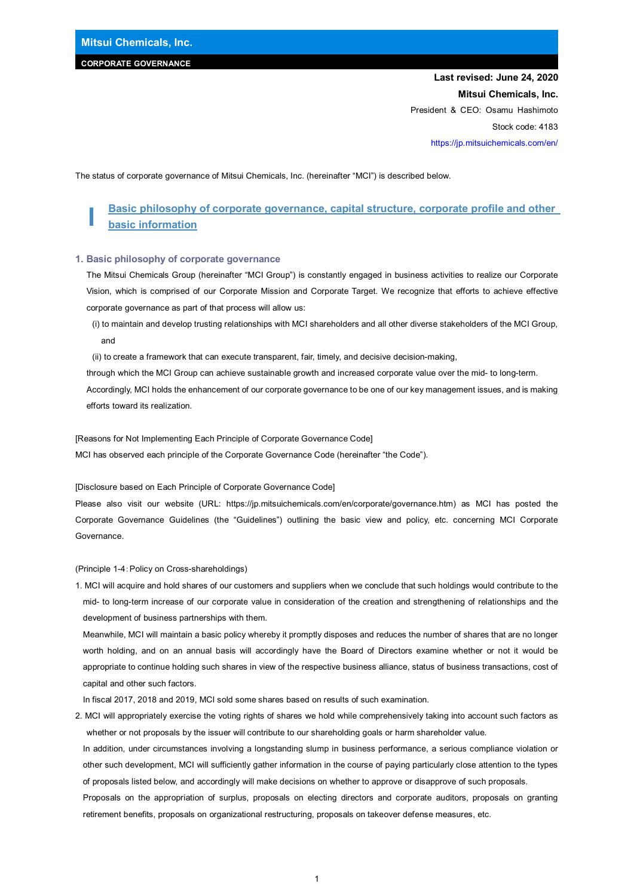# **CORPORATE GOVERNANCE**

# **Last revised: June 24, 2020 Mitsui Chemicals, Inc.**  President & CEO: Osamu Hashimoto Stock code: 4183 https://jp.mitsuichemicals.com/en/

The status of corporate governance of Mitsui Chemicals, Inc. (hereinafter "MCI") is described below.

# **I Basic philosophy of corporate governance, capital structure, corporate profile and other basic information**

#### **1. Basic philosophy of corporate governance**

The Mitsui Chemicals Group (hereinafter "MCI Group") is constantly engaged in business activities to realize our Corporate Vision, which is comprised of our Corporate Mission and Corporate Target. We recognize that efforts to achieve effective corporate governance as part of that process will allow us:

- (i) to maintain and develop trusting relationships with MCI shareholders and all other diverse stakeholders of the MCI Group, and
- (ii) to create a framework that can execute transparent, fair, timely, and decisive decision-making,

through which the MCI Group can achieve sustainable growth and increased corporate value over the mid- to long-term.

Accordingly, MCI holds the enhancement of our corporate governance to be one of our key management issues, and is making efforts toward its realization.

[Reasons for Not Implementing Each Principle of Corporate Governance Code] MCI has observed each principle of the Corporate Governance Code (hereinafter "the Code").

[Disclosure based on Each Principle of Corporate Governance Code]

Please also visit our website (URL: https://jp.mitsuichemicals.com/en/corporate/governance.htm) as MCI has posted the Corporate Governance Guidelines (the "Guidelines") outlining the basic view and policy, etc. concerning MCI Corporate Governance.

(Principle 1-4:Policy on Cross-shareholdings)

1. MCI will acquire and hold shares of our customers and suppliers when we conclude that such holdings would contribute to the mid- to long-term increase of our corporate value in consideration of the creation and strengthening of relationships and the development of business partnerships with them.

Meanwhile, MCI will maintain a basic policy whereby it promptly disposes and reduces the number of shares that are no longer worth holding, and on an annual basis will accordingly have the Board of Directors examine whether or not it would be appropriate to continue holding such shares in view of the respective business alliance, status of business transactions, cost of capital and other such factors.

In fiscal 2017, 2018 and 2019, MCI sold some shares based on results of such examination.

2. MCI will appropriately exercise the voting rights of shares we hold while comprehensively taking into account such factors as whether or not proposals by the issuer will contribute to our shareholding goals or harm shareholder value.

In addition, under circumstances involving a longstanding slump in business performance, a serious compliance violation or other such development, MCI will sufficiently gather information in the course of paying particularly close attention to the types of proposals listed below, and accordingly will make decisions on whether to approve or disapprove of such proposals.

Proposals on the appropriation of surplus, proposals on electing directors and corporate auditors, proposals on granting retirement benefits, proposals on organizational restructuring, proposals on takeover defense measures, etc.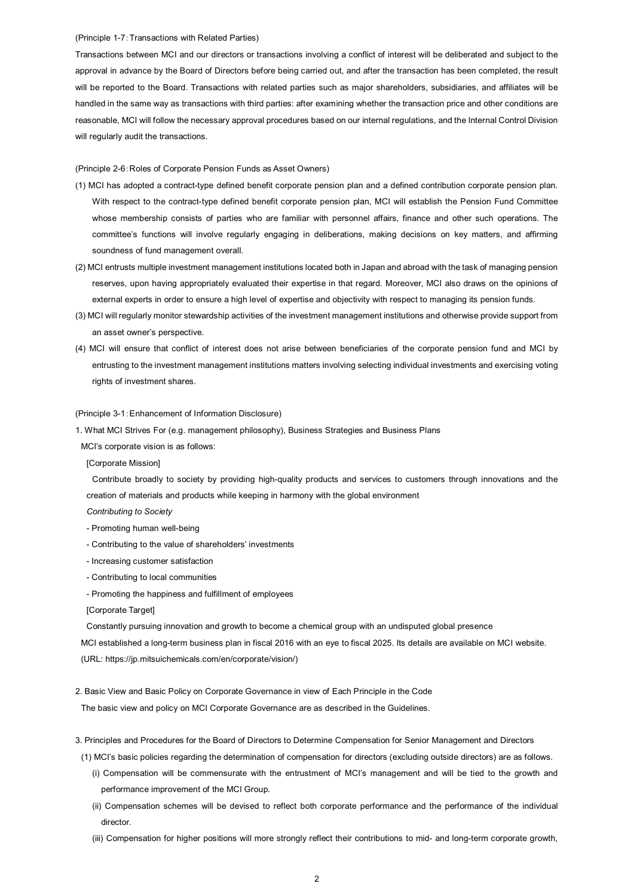#### (Principle 1-7:Transactions with Related Parties)

Transactions between MCI and our directors or transactions involving a conflict of interest will be deliberated and subject to the approval in advance by the Board of Directors before being carried out, and after the transaction has been completed, the result will be reported to the Board. Transactions with related parties such as major shareholders, subsidiaries, and affiliates will be handled in the same way as transactions with third parties: after examining whether the transaction price and other conditions are reasonable, MCI will follow the necessary approval procedures based on our internal regulations, and the Internal Control Division will regularly audit the transactions.

#### (Principle 2-6:Roles of Corporate Pension Funds as Asset Owners)

- (1) MCI has adopted a contract-type defined benefit corporate pension plan and a defined contribution corporate pension plan. With respect to the contract-type defined benefit corporate pension plan, MCI will establish the Pension Fund Committee whose membership consists of parties who are familiar with personnel affairs, finance and other such operations. The committee's functions will involve regularly engaging in deliberations, making decisions on key matters, and affirming soundness of fund management overall.
- (2) MCI entrusts multiple investment management institutions located both in Japan and abroad with the task of managing pension reserves, upon having appropriately evaluated their expertise in that regard. Moreover, MCI also draws on the opinions of external experts in order to ensure a high level of expertise and objectivity with respect to managing its pension funds.
- (3) MCI will regularly monitor stewardship activities of the investment management institutions and otherwise provide support from an asset owner's perspective.
- (4) MCI will ensure that conflict of interest does not arise between beneficiaries of the corporate pension fund and MCI by entrusting to the investment management institutions matters involving selecting individual investments and exercising voting rights of investment shares.

### (Principle 3-1:Enhancement of Information Disclosure)

1. What MCI Strives For (e.g. management philosophy), Business Strategies and Business Plans

MCI's corporate vision is as follows:

[Corporate Mission]

Contribute broadly to society by providing high-quality products and services to customers through innovations and the creation of materials and products while keeping in harmony with the global environment

*Contributing to Society* 

- Promoting human well-being
- Contributing to the value of shareholders' investments
- Increasing customer satisfaction
- Contributing to local communities
- Promoting the happiness and fulfillment of employees

[Corporate Target]

Constantly pursuing innovation and growth to become a chemical group with an undisputed global presence MCI established a long-term business plan in fiscal 2016 with an eye to fiscal 2025. Its details are available on MCI website. (URL: https://jp.mitsuichemicals.com/en/corporate/vision/)

2. Basic View and Basic Policy on Corporate Governance in view of Each Principle in the Code

The basic view and policy on MCI Corporate Governance are as described in the Guidelines.

- 3. Principles and Procedures for the Board of Directors to Determine Compensation for Senior Management and Directors
- (1) MCI's basic policies regarding the determination of compensation for directors (excluding outside directors) are as follows.
	- (i) Compensation will be commensurate with the entrustment of MCI's management and will be tied to the growth and performance improvement of the MCI Group.
	- (ii) Compensation schemes will be devised to reflect both corporate performance and the performance of the individual director.
	- (iii) Compensation for higher positions will more strongly reflect their contributions to mid- and long-term corporate growth,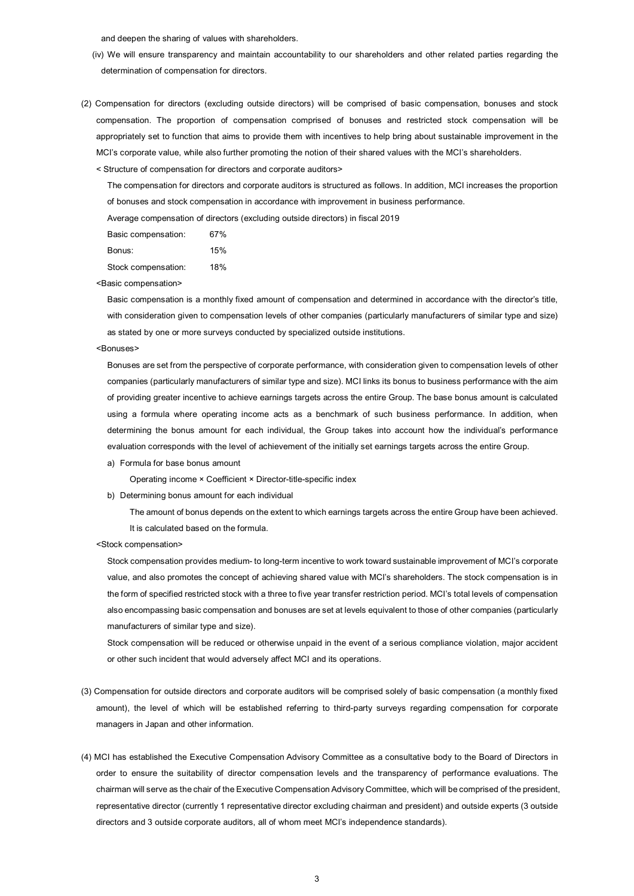and deepen the sharing of values with shareholders.

- (iv) We will ensure transparency and maintain accountability to our shareholders and other related parties regarding the determination of compensation for directors.
- (2) Compensation for directors (excluding outside directors) will be comprised of basic compensation, bonuses and stock compensation. The proportion of compensation comprised of bonuses and restricted stock compensation will be appropriately set to function that aims to provide them with incentives to help bring about sustainable improvement in the MCI's corporate value, while also further promoting the notion of their shared values with the MCI's shareholders.

< Structure of compensation for directors and corporate auditors>

The compensation for directors and corporate auditors is structured as follows. In addition, MCI increases the proportion of bonuses and stock compensation in accordance with improvement in business performance.

Average compensation of directors (excluding outside directors) in fiscal 2019

Basic compensation: 67%

Bonus: 15%

Stock compensation: 18%

<Basic compensation>

Basic compensation is a monthly fixed amount of compensation and determined in accordance with the director's title, with consideration given to compensation levels of other companies (particularly manufacturers of similar type and size) as stated by one or more surveys conducted by specialized outside institutions.

#### <Bonuses>

Bonuses are set from the perspective of corporate performance, with consideration given to compensation levels of other companies (particularly manufacturers of similar type and size). MCI links its bonus to business performance with the aim of providing greater incentive to achieve earnings targets across the entire Group. The base bonus amount is calculated using a formula where operating income acts as a benchmark of such business performance. In addition, when determining the bonus amount for each individual, the Group takes into account how the individual's performance evaluation corresponds with the level of achievement of the initially set earnings targets across the entire Group.

a) Formula for base bonus amount

Operating income × Coefficient × Director-title-specific index

b) Determining bonus amount for each individual

The amount of bonus depends on the extent to which earnings targets across the entire Group have been achieved. It is calculated based on the formula.

<Stock compensation>

Stock compensation provides medium- to long-term incentive to work toward sustainable improvement of MCI's corporate value, and also promotes the concept of achieving shared value with MCI's shareholders. The stock compensation is in the form of specified restricted stock with a three to five year transfer restriction period. MCI's total levels of compensation also encompassing basic compensation and bonuses are set at levels equivalent to those of other companies (particularly manufacturers of similar type and size).

Stock compensation will be reduced or otherwise unpaid in the event of a serious compliance violation, major accident or other such incident that would adversely affect MCI and its operations.

- (3) Compensation for outside directors and corporate auditors will be comprised solely of basic compensation (a monthly fixed amount), the level of which will be established referring to third-party surveys regarding compensation for corporate managers in Japan and other information.
- (4) MCI has established the Executive Compensation Advisory Committee as a consultative body to the Board of Directors in order to ensure the suitability of director compensation levels and the transparency of performance evaluations. The chairman will serve as the chair of the Executive Compensation Advisory Committee, which will be comprised of the president, representative director (currently 1 representative director excluding chairman and president) and outside experts (3 outside directors and 3 outside corporate auditors, all of whom meet MCI's independence standards).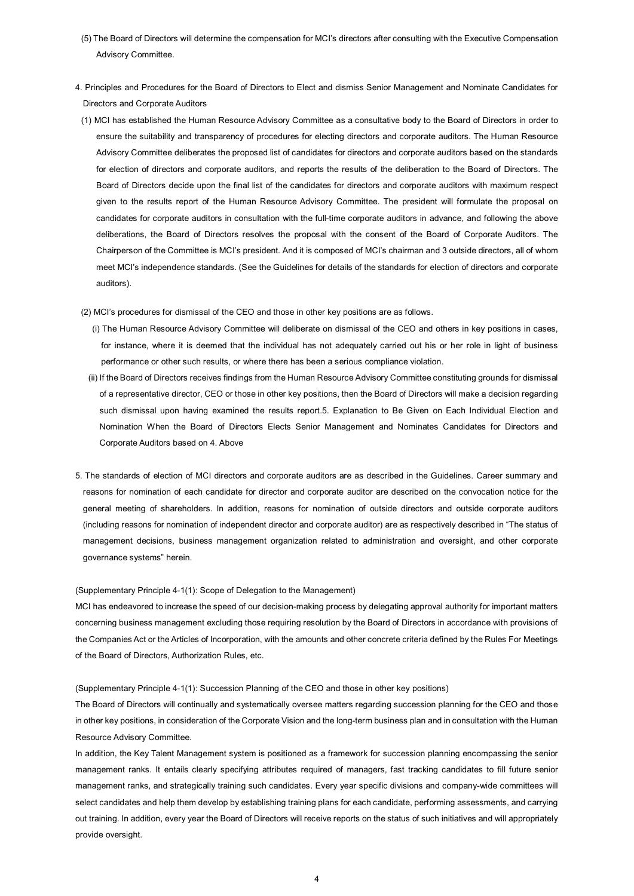- (5) The Board of Directors will determine the compensation for MCI's directors after consulting with the Executive Compensation Advisory Committee.
- 4. Principles and Procedures for the Board of Directors to Elect and dismiss Senior Management and Nominate Candidates for Directors and Corporate Auditors
- (1) MCI has established the Human Resource Advisory Committee as a consultative body to the Board of Directors in order to ensure the suitability and transparency of procedures for electing directors and corporate auditors. The Human Resource Advisory Committee deliberates the proposed list of candidates for directors and corporate auditors based on the standards for election of directors and corporate auditors, and reports the results of the deliberation to the Board of Directors. The Board of Directors decide upon the final list of the candidates for directors and corporate auditors with maximum respect given to the results report of the Human Resource Advisory Committee. The president will formulate the proposal on candidates for corporate auditors in consultation with the full-time corporate auditors in advance, and following the above deliberations, the Board of Directors resolves the proposal with the consent of the Board of Corporate Auditors. The Chairperson of the Committee is MCI's president. And it is composed of MCI's chairman and 3 outside directors, all of whom meet MCI's independence standards. (See the Guidelines for details of the standards for election of directors and corporate auditors).
- (2) MCI's procedures for dismissal of the CEO and those in other key positions are as follows.
	- (i) The Human Resource Advisory Committee will deliberate on dismissal of the CEO and others in key positions in cases, for instance, where it is deemed that the individual has not adequately carried out his or her role in light of business performance or other such results, or where there has been a serious compliance violation.
	- (ii) If the Board of Directors receives findings from the Human Resource Advisory Committee constituting grounds for dismissal of a representative director, CEO or those in other key positions, then the Board of Directors will make a decision regarding such dismissal upon having examined the results report.5. Explanation to Be Given on Each Individual Election and Nomination When the Board of Directors Elects Senior Management and Nominates Candidates for Directors and Corporate Auditors based on 4. Above
- 5. The standards of election of MCI directors and corporate auditors are as described in the Guidelines. Career summary and reasons for nomination of each candidate for director and corporate auditor are described on the convocation notice for the general meeting of shareholders. In addition, reasons for nomination of outside directors and outside corporate auditors (including reasons for nomination of independent director and corporate auditor) are as respectively described in "The status of management decisions, business management organization related to administration and oversight, and other corporate governance systems" herein.

#### (Supplementary Principle 4-1(1): Scope of Delegation to the Management)

MCI has endeavored to increase the speed of our decision-making process by delegating approval authority for important matters concerning business management excluding those requiring resolution by the Board of Directors in accordance with provisions of the Companies Act or the Articles of Incorporation, with the amounts and other concrete criteria defined by the Rules For Meetings of the Board of Directors, Authorization Rules, etc.

## (Supplementary Principle 4-1(1): Succession Planning of the CEO and those in other key positions)

The Board of Directors will continually and systematically oversee matters regarding succession planning for the CEO and those in other key positions, in consideration of the Corporate Vision and the long-term business plan and in consultation with the Human Resource Advisory Committee.

In addition, the Key Talent Management system is positioned as a framework for succession planning encompassing the senior management ranks. It entails clearly specifying attributes required of managers, fast tracking candidates to fill future senior management ranks, and strategically training such candidates. Every year specific divisions and company-wide committees will select candidates and help them develop by establishing training plans for each candidate, performing assessments, and carrying out training. In addition, every year the Board of Directors will receive reports on the status of such initiatives and will appropriately provide oversight.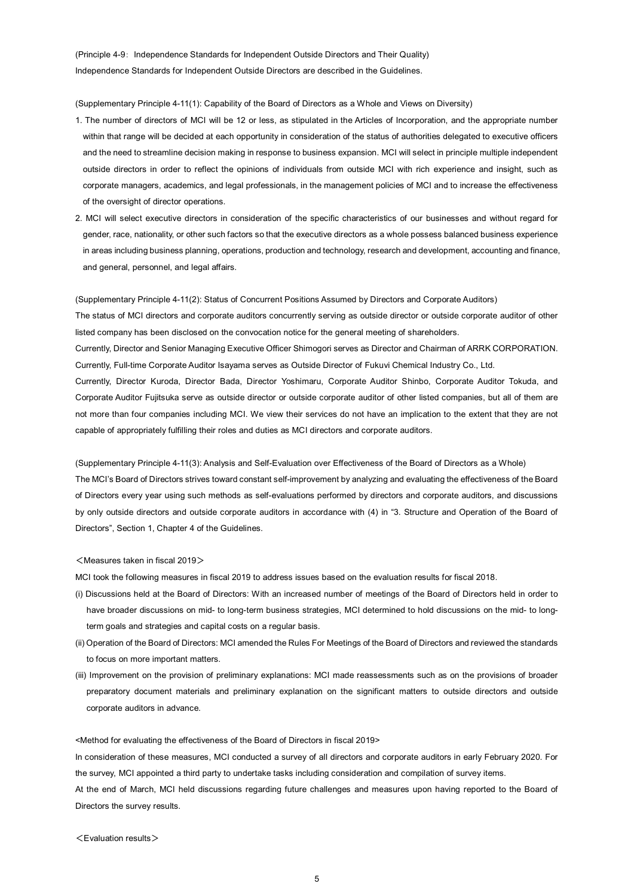(Principle 4-9: Independence Standards for Independent Outside Directors and Their Quality) Independence Standards for Independent Outside Directors are described in the Guidelines.

(Supplementary Principle 4-11(1): Capability of the Board of Directors as a Whole and Views on Diversity)

- 1. The number of directors of MCI will be 12 or less, as stipulated in the Articles of Incorporation, and the appropriate number within that range will be decided at each opportunity in consideration of the status of authorities delegated to executive officers and the need to streamline decision making in response to business expansion. MCI will select in principle multiple independent outside directors in order to reflect the opinions of individuals from outside MCI with rich experience and insight, such as corporate managers, academics, and legal professionals, in the management policies of MCI and to increase the effectiveness of the oversight of director operations.
- 2. MCI will select executive directors in consideration of the specific characteristics of our businesses and without regard for gender, race, nationality, or other such factors so that the executive directors as a whole possess balanced business experience in areas including business planning, operations, production and technology, research and development, accounting and finance, and general, personnel, and legal affairs.

(Supplementary Principle 4-11(2): Status of Concurrent Positions Assumed by Directors and Corporate Auditors) The status of MCI directors and corporate auditors concurrently serving as outside director or outside corporate auditor of other listed company has been disclosed on the convocation notice for the general meeting of shareholders. Currently, Director and Senior Managing Executive Officer Shimogori serves as Director and Chairman of ARRK CORPORATION. Currently, Full-time Corporate Auditor Isayama serves as Outside Director of Fukuvi Chemical Industry Co., Ltd. Currently, Director Kuroda, Director Bada, Director Yoshimaru, Corporate Auditor Shinbo, Corporate Auditor Tokuda, and Corporate Auditor Fujitsuka serve as outside director or outside corporate auditor of other listed companies, but all of them are not more than four companies including MCI. We view their services do not have an implication to the extent that they are not capable of appropriately fulfilling their roles and duties as MCI directors and corporate auditors.

(Supplementary Principle 4-11(3): Analysis and Self-Evaluation over Effectiveness of the Board of Directors as a Whole) The MCI's Board of Directors strives toward constant self-improvement by analyzing and evaluating the effectiveness of the Board of Directors every year using such methods as self-evaluations performed by directors and corporate auditors, and discussions by only outside directors and outside corporate auditors in accordance with (4) in "3. Structure and Operation of the Board of Directors", Section 1, Chapter 4 of the Guidelines.

## <Measures taken in fiscal 2019>

MCI took the following measures in fiscal 2019 to address issues based on the evaluation results for fiscal 2018.

- (i) Discussions held at the Board of Directors: With an increased number of meetings of the Board of Directors held in order to have broader discussions on mid- to long-term business strategies, MCI determined to hold discussions on the mid- to longterm goals and strategies and capital costs on a regular basis.
- (ii) Operation of the Board of Directors: MCI amended the Rules For Meetings of the Board of Directors and reviewed the standards to focus on more important matters.
- (iii) Improvement on the provision of preliminary explanations: MCI made reassessments such as on the provisions of broader preparatory document materials and preliminary explanation on the significant matters to outside directors and outside corporate auditors in advance.

<Method for evaluating the effectiveness of the Board of Directors in fiscal 2019>

In consideration of these measures, MCI conducted a survey of all directors and corporate auditors in early February 2020. For the survey, MCI appointed a third party to undertake tasks including consideration and compilation of survey items. At the end of March, MCI held discussions regarding future challenges and measures upon having reported to the Board of Directors the survey results.

<Evaluation results>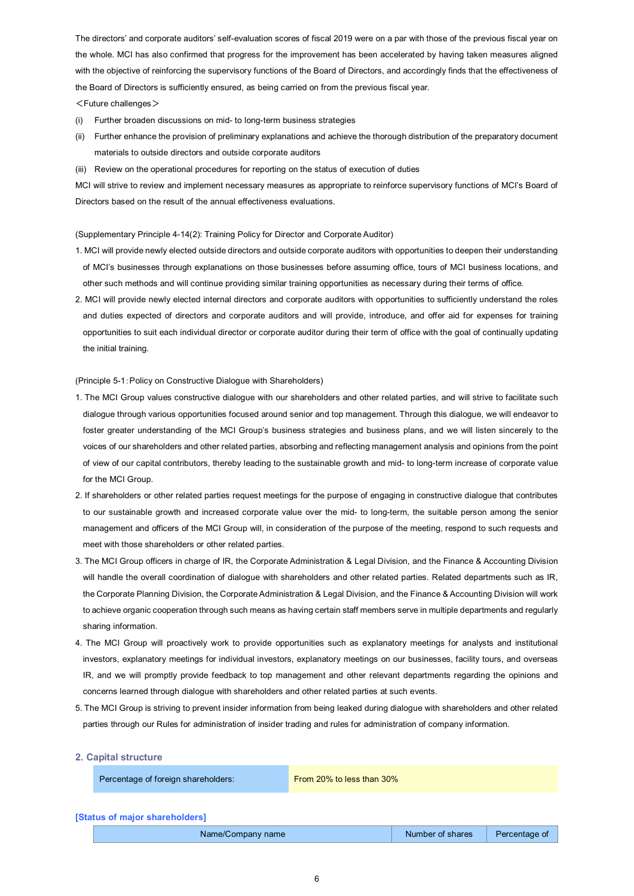The directors' and corporate auditors' self-evaluation scores of fiscal 2019 were on a par with those of the previous fiscal year on the whole. MCI has also confirmed that progress for the improvement has been accelerated by having taken measures aligned with the objective of reinforcing the supervisory functions of the Board of Directors, and accordingly finds that the effectiveness of the Board of Directors is sufficiently ensured, as being carried on from the previous fiscal year.  $<$ Future challenges $>$ 

- (i) Further broaden discussions on mid- to long-term business strategies
- (ii) Further enhance the provision of preliminary explanations and achieve the thorough distribution of the preparatory document materials to outside directors and outside corporate auditors
- (iii) Review on the operational procedures for reporting on the status of execution of duties

MCI will strive to review and implement necessary measures as appropriate to reinforce supervisory functions of MCI's Board of Directors based on the result of the annual effectiveness evaluations.

(Supplementary Principle 4-14(2): Training Policy for Director and Corporate Auditor)

- 1. MCI will provide newly elected outside directors and outside corporate auditors with opportunities to deepen their understanding of MCI's businesses through explanations on those businesses before assuming office, tours of MCI business locations, and other such methods and will continue providing similar training opportunities as necessary during their terms of office.
- 2. MCI will provide newly elected internal directors and corporate auditors with opportunities to sufficiently understand the roles and duties expected of directors and corporate auditors and will provide, introduce, and offer aid for expenses for training opportunities to suit each individual director or corporate auditor during their term of office with the goal of continually updating the initial training.

(Principle 5-1:Policy on Constructive Dialogue with Shareholders)

- 1. The MCI Group values constructive dialogue with our shareholders and other related parties, and will strive to facilitate such dialogue through various opportunities focused around senior and top management. Through this dialogue, we will endeavor to foster greater understanding of the MCI Group's business strategies and business plans, and we will listen sincerely to the voices of our shareholders and other related parties, absorbing and reflecting management analysis and opinions from the point of view of our capital contributors, thereby leading to the sustainable growth and mid- to long-term increase of corporate value for the MCI Group.
- 2. If shareholders or other related parties request meetings for the purpose of engaging in constructive dialogue that contributes to our sustainable growth and increased corporate value over the mid- to long-term, the suitable person among the senior management and officers of the MCI Group will, in consideration of the purpose of the meeting, respond to such requests and meet with those shareholders or other related parties.
- 3. The MCI Group officers in charge of IR, the Corporate Administration & Legal Division, and the Finance & Accounting Division will handle the overall coordination of dialogue with shareholders and other related parties. Related departments such as IR, the Corporate Planning Division, the Corporate Administration & Legal Division, and the Finance & Accounting Division will work to achieve organic cooperation through such means as having certain staff members serve in multiple departments and regularly sharing information.
- 4. The MCI Group will proactively work to provide opportunities such as explanatory meetings for analysts and institutional investors, explanatory meetings for individual investors, explanatory meetings on our businesses, facility tours, and overseas IR, and we will promptly provide feedback to top management and other relevant departments regarding the opinions and concerns learned through dialogue with shareholders and other related parties at such events.
- 5. The MCI Group is striving to prevent insider information from being leaked during dialogue with shareholders and other related parties through our Rules for administration of insider trading and rules for administration of company information.

#### **2. Capital structure**

Percentage of foreign shareholders: From 20% to less than 30%

#### **[Status of major shareholders]**

|  | Name/Company name | Number of shares   Percentage of |  |
|--|-------------------|----------------------------------|--|
|--|-------------------|----------------------------------|--|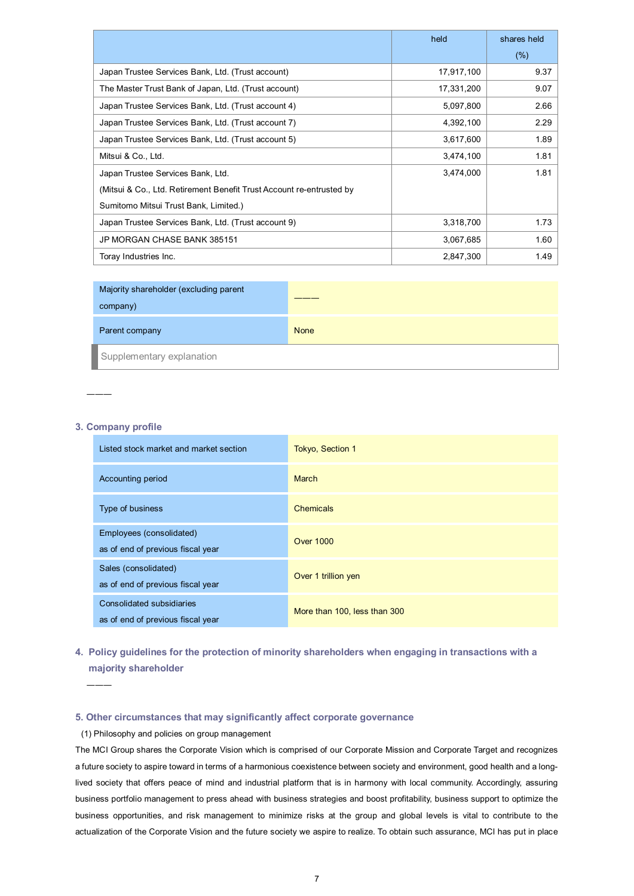|                                                                      | held       | shares held |
|----------------------------------------------------------------------|------------|-------------|
|                                                                      |            | (% )        |
| Japan Trustee Services Bank, Ltd. (Trust account)                    | 17,917,100 | 9.37        |
| The Master Trust Bank of Japan, Ltd. (Trust account)                 | 17,331,200 | 9.07        |
| Japan Trustee Services Bank, Ltd. (Trust account 4)                  | 5,097,800  | 2.66        |
| Japan Trustee Services Bank, Ltd. (Trust account 7)                  | 4,392,100  | 2.29        |
| Japan Trustee Services Bank, Ltd. (Trust account 5)                  | 3,617,600  | 1.89        |
| Mitsui & Co., Ltd.                                                   | 3,474,100  | 1.81        |
| Japan Trustee Services Bank, Ltd.                                    | 3,474,000  | 1.81        |
| (Mitsui & Co., Ltd. Retirement Benefit Trust Account re-entrusted by |            |             |
| Sumitomo Mitsui Trust Bank, Limited.)                                |            |             |
| Japan Trustee Services Bank, Ltd. (Trust account 9)                  | 3,318,700  | 1.73        |
| JP MORGAN CHASE BANK 385151                                          | 3,067,685  | 1.60        |
| Toray Industries Inc.                                                | 2,847,300  | 1.49        |

| Majority shareholder (excluding parent<br>company) |      |
|----------------------------------------------------|------|
| Parent company                                     | None |
| Supplementary explanation                          |      |

# **3. Company profile**

―――

| Listed stock market and market section                         | <b>Tokyo, Section 1</b>      |
|----------------------------------------------------------------|------------------------------|
| Accounting period                                              | <b>March</b>                 |
| Type of business                                               | <b>Chemicals</b>             |
| Employees (consolidated)<br>as of end of previous fiscal year  | <b>Over 1000</b>             |
| Sales (consolidated)<br>as of end of previous fiscal year      | Over 1 trillion yen          |
| Consolidated subsidiaries<br>as of end of previous fiscal year | More than 100, less than 300 |

# **4. Policy guidelines for the protection of minority shareholders when engaging in transactions with a majority shareholder**

―――

# **5. Other circumstances that may significantly affect corporate governance**

# (1) Philosophy and policies on group management

The MCI Group shares the Corporate Vision which is comprised of our Corporate Mission and Corporate Target and recognizes a future society to aspire toward in terms of a harmonious coexistence between society and environment, good health and a longlived society that offers peace of mind and industrial platform that is in harmony with local community. Accordingly, assuring business portfolio management to press ahead with business strategies and boost profitability, business support to optimize the business opportunities, and risk management to minimize risks at the group and global levels is vital to contribute to the actualization of the Corporate Vision and the future society we aspire to realize. To obtain such assurance, MCI has put in place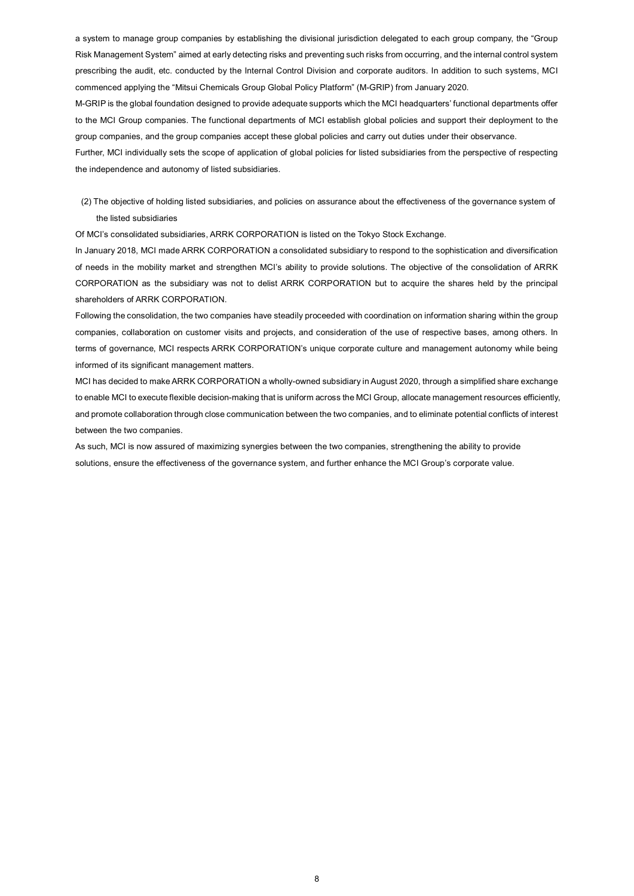a system to manage group companies by establishing the divisional jurisdiction delegated to each group company, the "Group Risk Management System" aimed at early detecting risks and preventing such risks from occurring, and the internal control system prescribing the audit, etc. conducted by the Internal Control Division and corporate auditors. In addition to such systems, MCI commenced applying the "Mitsui Chemicals Group Global Policy Platform" (M-GRIP) from January 2020.

M-GRIP is the global foundation designed to provide adequate supports which the MCI headquarters' functional departments offer to the MCI Group companies. The functional departments of MCI establish global policies and support their deployment to the group companies, and the group companies accept these global policies and carry out duties under their observance.

Further, MCI individually sets the scope of application of global policies for listed subsidiaries from the perspective of respecting the independence and autonomy of listed subsidiaries.

(2) The objective of holding listed subsidiaries, and policies on assurance about the effectiveness of the governance system of the listed subsidiaries

Of MCI's consolidated subsidiaries, ARRK CORPORATION is listed on the Tokyo Stock Exchange.

In January 2018, MCI made ARRK CORPORATION a consolidated subsidiary to respond to the sophistication and diversification of needs in the mobility market and strengthen MCI's ability to provide solutions. The objective of the consolidation of ARRK CORPORATION as the subsidiary was not to delist ARRK CORPORATION but to acquire the shares held by the principal shareholders of ARRK CORPORATION.

Following the consolidation, the two companies have steadily proceeded with coordination on information sharing within the group companies, collaboration on customer visits and projects, and consideration of the use of respective bases, among others. In terms of governance, MCI respects ARRK CORPORATION's unique corporate culture and management autonomy while being informed of its significant management matters.

MCI has decided to make ARRK CORPORATION a wholly-owned subsidiary in August 2020, through a simplified share exchange to enable MCI to execute flexible decision-making that is uniform across the MCI Group, allocate management resources efficiently, and promote collaboration through close communication between the two companies, and to eliminate potential conflicts of interest between the two companies.

As such, MCI is now assured of maximizing synergies between the two companies, strengthening the ability to provide solutions, ensure the effectiveness of the governance system, and further enhance the MCI Group's corporate value.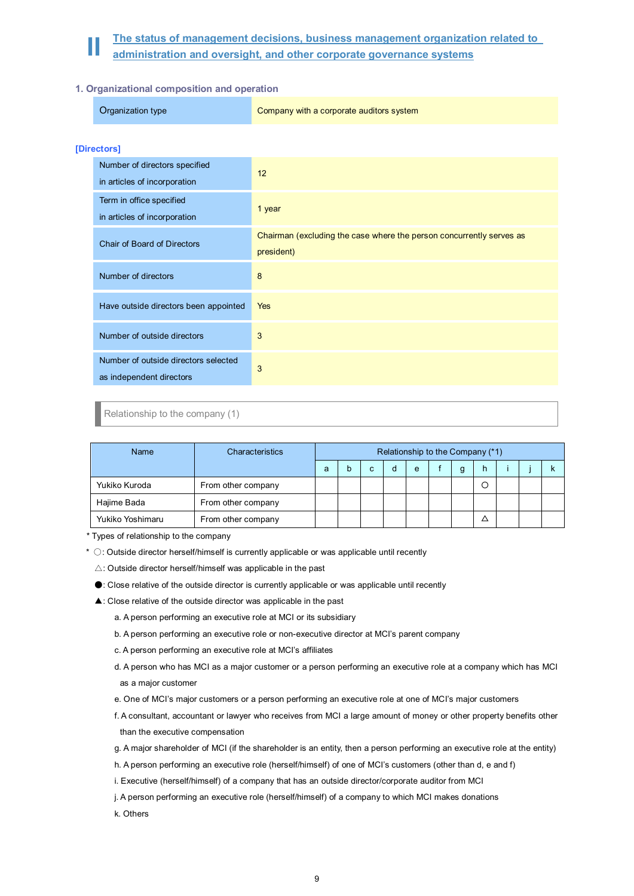# **II** The status of management decisions, business management organization related to administration and oversight, and other corporate governance systems

# **1. Organizational composition and operation**

| Organization type | Company with a corporate auditors system |
|-------------------|------------------------------------------|
|                   |                                          |

# **[Directors]**

| Number of directors specified<br>in articles of incorporation    | 12                                                                                 |
|------------------------------------------------------------------|------------------------------------------------------------------------------------|
| Term in office specified<br>in articles of incorporation         | 1 year                                                                             |
| Chair of Board of Directors                                      | Chairman (excluding the case where the person concurrently serves as<br>president) |
| Number of directors                                              | 8                                                                                  |
| Have outside directors been appointed                            | <b>Yes</b>                                                                         |
| Number of outside directors                                      | 3                                                                                  |
| Number of outside directors selected<br>as independent directors | 3                                                                                  |

# Relationship to the company (1)

| Name             | Characteristics    |   | Relationship to the Company (*1) |   |   |   |   |   |  |  |
|------------------|--------------------|---|----------------------------------|---|---|---|---|---|--|--|
|                  |                    | a |                                  | с | d | e | g | h |  |  |
| Yukiko Kuroda    | From other company |   |                                  |   |   |   |   | О |  |  |
| Hajime Bada      | From other company |   |                                  |   |   |   |   |   |  |  |
| Yukiko Yoshimaru | From other company |   |                                  |   |   |   |   |   |  |  |

\* Types of relationship to the company

- \*  $\circ$ : Outside director herself/himself is currently applicable or was applicable until recently
	- $\triangle$ : Outside director herself/himself was applicable in the past
	- ●: Close relative of the outside director is currently applicable or was applicable until recently
	- ▲: Close relative of the outside director was applicable in the past
		- a. A person performing an executive role at MCI or its subsidiary
		- b. A person performing an executive role or non-executive director at MCI's parent company
		- c. A person performing an executive role at MCI's affiliates
		- d. A person who has MCI as a major customer or a person performing an executive role at a company which has MCI as a major customer
		- e. One of MCI's major customers or a person performing an executive role at one of MCI's major customers
		- f. A consultant, accountant or lawyer who receives from MCI a large amount of money or other property benefits other than the executive compensation
		- g. A major shareholder of MCI (if the shareholder is an entity, then a person performing an executive role at the entity)
		- h. A person performing an executive role (herself/himself) of one of MCI's customers (other than d, e and f)
		- i. Executive (herself/himself) of a company that has an outside director/corporate auditor from MCI
		- j. A person performing an executive role (herself/himself) of a company to which MCI makes donations
		- k. Others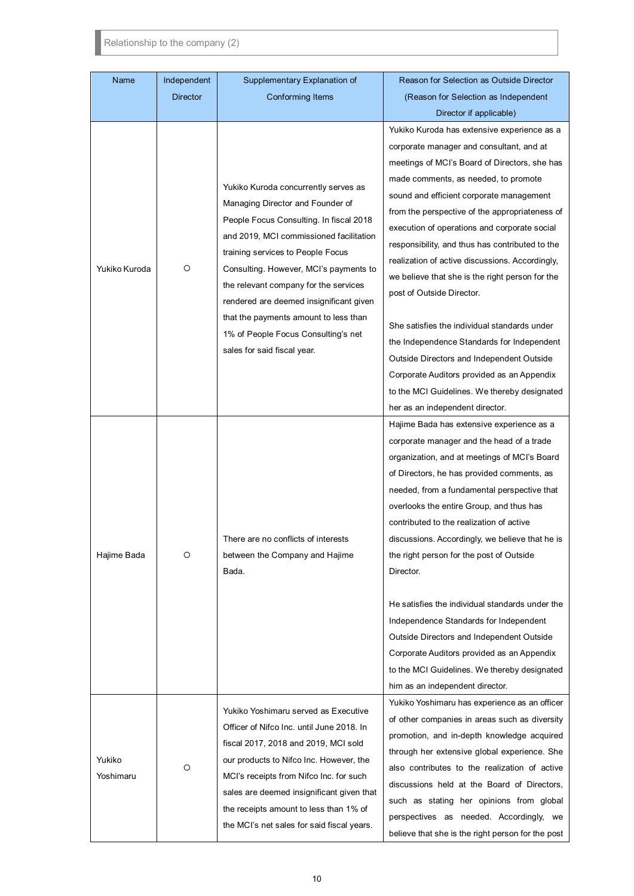Relationship to the company (2)

| Name                | Independent     | Supplementary Explanation of                                                                                                                                                                                                                                                                                                                                                                                                                     | Reason for Selection as Outside Director                                                                                                                                                                                                                                                                                                                                                                                                                                                                                                                                                                                                                                                                                                                      |
|---------------------|-----------------|--------------------------------------------------------------------------------------------------------------------------------------------------------------------------------------------------------------------------------------------------------------------------------------------------------------------------------------------------------------------------------------------------------------------------------------------------|---------------------------------------------------------------------------------------------------------------------------------------------------------------------------------------------------------------------------------------------------------------------------------------------------------------------------------------------------------------------------------------------------------------------------------------------------------------------------------------------------------------------------------------------------------------------------------------------------------------------------------------------------------------------------------------------------------------------------------------------------------------|
|                     | <b>Director</b> | <b>Conforming Items</b>                                                                                                                                                                                                                                                                                                                                                                                                                          | (Reason for Selection as Independent                                                                                                                                                                                                                                                                                                                                                                                                                                                                                                                                                                                                                                                                                                                          |
|                     |                 |                                                                                                                                                                                                                                                                                                                                                                                                                                                  | Director if applicable)                                                                                                                                                                                                                                                                                                                                                                                                                                                                                                                                                                                                                                                                                                                                       |
| Yukiko Kuroda       | O               | Yukiko Kuroda concurrently serves as<br>Managing Director and Founder of<br>People Focus Consulting. In fiscal 2018<br>and 2019, MCI commissioned facilitation<br>training services to People Focus<br>Consulting. However, MCI's payments to<br>the relevant company for the services<br>rendered are deemed insignificant given<br>that the payments amount to less than<br>1% of People Focus Consulting's net<br>sales for said fiscal year. | Yukiko Kuroda has extensive experience as a<br>corporate manager and consultant, and at<br>meetings of MCI's Board of Directors, she has<br>made comments, as needed, to promote<br>sound and efficient corporate management<br>from the perspective of the appropriateness of<br>execution of operations and corporate social<br>responsibility, and thus has contributed to the<br>realization of active discussions. Accordingly,<br>we believe that she is the right person for the<br>post of Outside Director.<br>She satisfies the individual standards under<br>the Independence Standards for Independent<br>Outside Directors and Independent Outside<br>Corporate Auditors provided as an Appendix<br>to the MCI Guidelines. We thereby designated |
| Hajime Bada         | O               | There are no conflicts of interests<br>between the Company and Hajime<br>Bada.                                                                                                                                                                                                                                                                                                                                                                   | her as an independent director.<br>Hajime Bada has extensive experience as a<br>corporate manager and the head of a trade<br>organization, and at meetings of MCI's Board<br>of Directors, he has provided comments, as<br>needed, from a fundamental perspective that<br>overlooks the entire Group, and thus has<br>contributed to the realization of active<br>discussions. Accordingly, we believe that he is<br>the right person for the post of Outside<br>Director.<br>He satisfies the individual standards under the<br>Independence Standards for Independent<br>Outside Directors and Independent Outside<br>Corporate Auditors provided as an Appendix<br>to the MCI Guidelines. We thereby designated<br>him as an independent director.         |
| Yukiko<br>Yoshimaru | O               | Yukiko Yoshimaru served as Executive<br>Officer of Nifco Inc. until June 2018. In<br>fiscal 2017, 2018 and 2019, MCI sold<br>our products to Nifco Inc. However, the<br>MCI's receipts from Nifco Inc. for such<br>sales are deemed insignificant given that<br>the receipts amount to less than 1% of<br>the MCI's net sales for said fiscal years.                                                                                             | Yukiko Yoshimaru has experience as an officer<br>of other companies in areas such as diversity<br>promotion, and in-depth knowledge acquired<br>through her extensive global experience. She<br>also contributes to the realization of active<br>discussions held at the Board of Directors,<br>such as stating her opinions from global<br>perspectives as needed. Accordingly, we<br>believe that she is the right person for the post                                                                                                                                                                                                                                                                                                                      |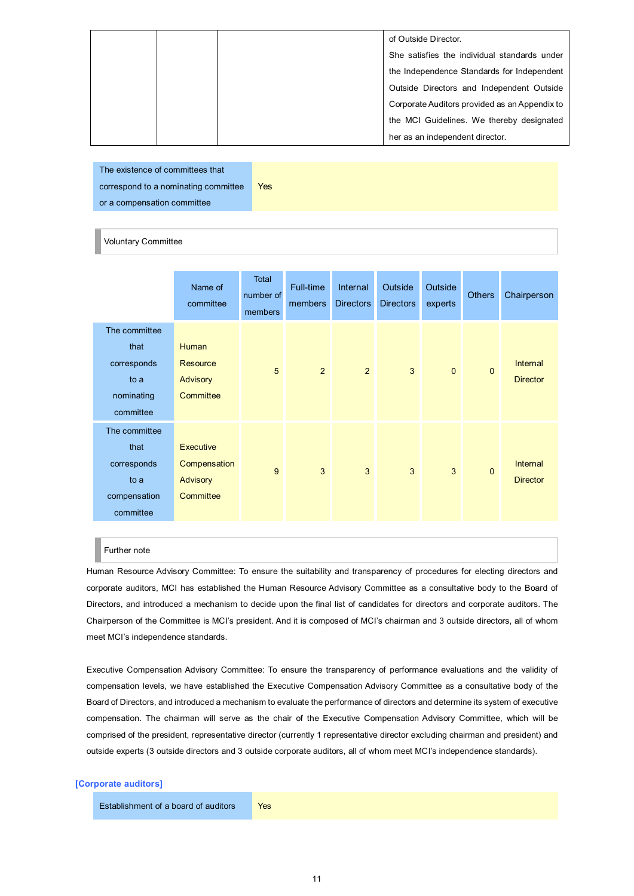|  | of Outside Director.                          |
|--|-----------------------------------------------|
|  | She satisfies the individual standards under  |
|  | the Independence Standards for Independent    |
|  | Outside Directors and Independent Outside     |
|  | Corporate Auditors provided as an Appendix to |
|  | the MCI Guidelines. We thereby designated     |
|  | her as an independent director.               |

The existence of committees that correspond to a nominating committee or a compensation committee Yes

## Voluntary Committee

|                                                                           | Name of<br>committee                                            | Total<br>number of<br>members | Full-time<br>members | Internal<br><b>Directors</b> | Outside<br><b>Directors</b> | Outside<br>experts | <b>Others</b> | Chairperson                 |
|---------------------------------------------------------------------------|-----------------------------------------------------------------|-------------------------------|----------------------|------------------------------|-----------------------------|--------------------|---------------|-----------------------------|
| The committee<br>that<br>corresponds<br>to a<br>nominating<br>committee   | <b>Human</b><br><b>Resource</b><br><b>Advisory</b><br>Committee | 5                             | 2                    | 2                            | 3                           | $\mathbf{0}$       | $\mathbf{0}$  | Internal<br><b>Director</b> |
| The committee<br>that<br>corresponds<br>to a<br>compensation<br>committee | Executive<br>Compensation<br>Advisory<br>Committee              | 9                             | 3                    | $\mathbf{3}$                 | 3                           | 3                  | $\mathbf{0}$  | Internal<br><b>Director</b> |

## Further note

Human Resource Advisory Committee: To ensure the suitability and transparency of procedures for electing directors and corporate auditors, MCI has established the Human Resource Advisory Committee as a consultative body to the Board of Directors, and introduced a mechanism to decide upon the final list of candidates for directors and corporate auditors. The Chairperson of the Committee is MCI's president. And it is composed of MCI's chairman and 3 outside directors, all of whom meet MCI's independence standards.

Executive Compensation Advisory Committee: To ensure the transparency of performance evaluations and the validity of compensation levels, we have established the Executive Compensation Advisory Committee as a consultative body of the Board of Directors, and introduced a mechanism to evaluate the performance of directors and determine its system of executive compensation. The chairman will serve as the chair of the Executive Compensation Advisory Committee, which will be comprised of the president, representative director (currently 1 representative director excluding chairman and president) and outside experts (3 outside directors and 3 outside corporate auditors, all of whom meet MCI's independence standards).

# **[Corporate auditors]**

#### Establishment of a board of auditors Yes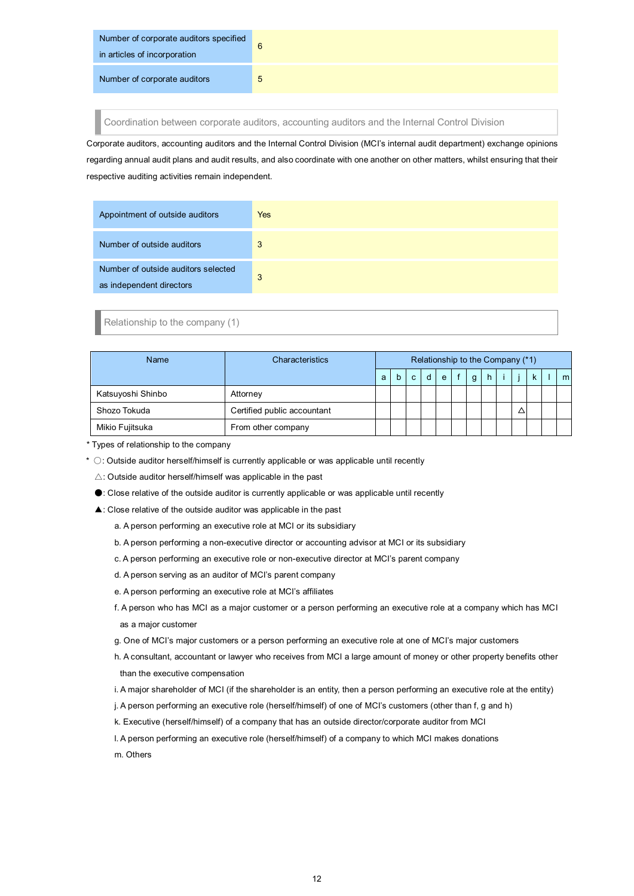| Number of corporate auditors specified<br>in articles of incorporation | 6 |
|------------------------------------------------------------------------|---|
| Number of corporate auditors                                           | 5 |

Coordination between corporate auditors, accounting auditors and the Internal Control Division

Corporate auditors, accounting auditors and the Internal Control Division (MCI's internal audit department) exchange opinions regarding annual audit plans and audit results, and also coordinate with one another on other matters, whilst ensuring that their respective auditing activities remain independent.

| Appointment of outside auditors                                 | Yes |
|-----------------------------------------------------------------|-----|
| Number of outside auditors                                      | 3   |
| Number of outside auditors selected<br>as independent directors | 3   |

Relationship to the company (1)

| Name              | Characteristics             | Relationship to the Company (*1) |   |              |   |   |   |    |  |   |                |
|-------------------|-----------------------------|----------------------------------|---|--------------|---|---|---|----|--|---|----------------|
|                   |                             | a                                | b | $\mathbf{C}$ | d | e | g | h. |  | k | m <sub>l</sub> |
| Katsuyoshi Shinbo | Attorney                    |                                  |   |              |   |   |   |    |  |   |                |
| Shozo Tokuda      | Certified public accountant |                                  |   |              |   |   |   |    |  |   |                |
| Mikio Fujitsuka   | From other company          |                                  |   |              |   |   |   |    |  |   |                |

\* Types of relationship to the company

\*  $\circ$ : Outside auditor herself/himself is currently applicable or was applicable until recently

 $\triangle$ : Outside auditor herself/himself was applicable in the past

●: Close relative of the outside auditor is currently applicable or was applicable until recently

▲: Close relative of the outside auditor was applicable in the past

a. A person performing an executive role at MCI or its subsidiary

- b. A person performing a non-executive director or accounting advisor at MCI or its subsidiary
- c. A person performing an executive role or non-executive director at MCI's parent company
- d. A person serving as an auditor of MCI's parent company
- e. A person performing an executive role at MCI's affiliates

f. A person who has MCI as a major customer or a person performing an executive role at a company which has MCI as a major customer

g. One of MCI's major customers or a person performing an executive role at one of MCI's major customers

- h. A consultant, accountant or lawyer who receives from MCI a large amount of money or other property benefits other than the executive compensation
- i. A major shareholder of MCI (if the shareholder is an entity, then a person performing an executive role at the entity)
- j. A person performing an executive role (herself/himself) of one of MCI's customers (other than f, g and h)
- k. Executive (herself/himself) of a company that has an outside director/corporate auditor from MCI
- l. A person performing an executive role (herself/himself) of a company to which MCI makes donations

m. Others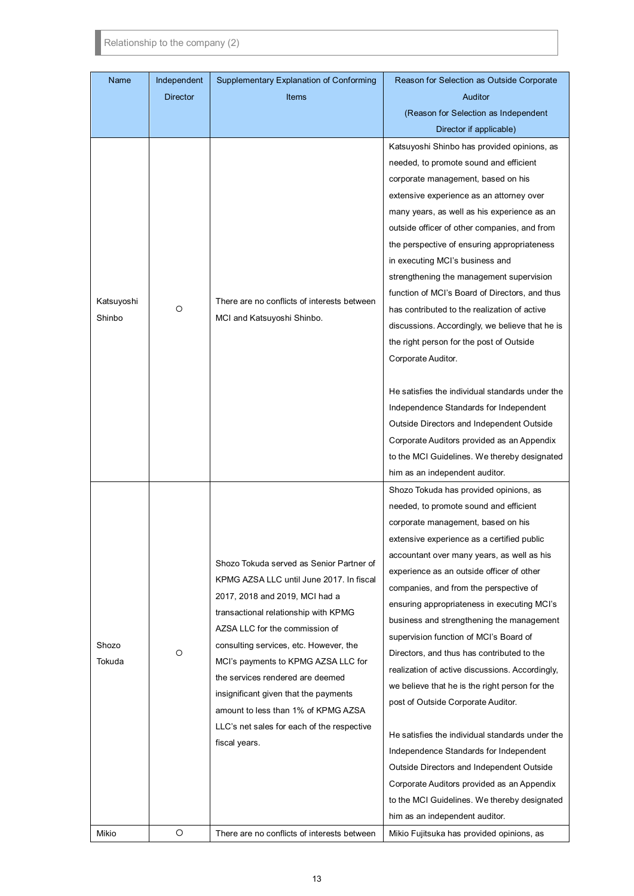Relationship to the company (2)

| Name                 | Independent     | Supplementary Explanation of Conforming                                                                                                                                                                                                                                                                                                                                                                                                                              | Reason for Selection as Outside Corporate                                                                                                                                                                                                                                                                                                                                                                                                                                                                                                                                                                                                                                                                                                                                                                                                                                                                          |
|----------------------|-----------------|----------------------------------------------------------------------------------------------------------------------------------------------------------------------------------------------------------------------------------------------------------------------------------------------------------------------------------------------------------------------------------------------------------------------------------------------------------------------|--------------------------------------------------------------------------------------------------------------------------------------------------------------------------------------------------------------------------------------------------------------------------------------------------------------------------------------------------------------------------------------------------------------------------------------------------------------------------------------------------------------------------------------------------------------------------------------------------------------------------------------------------------------------------------------------------------------------------------------------------------------------------------------------------------------------------------------------------------------------------------------------------------------------|
|                      | <b>Director</b> | <b>Items</b>                                                                                                                                                                                                                                                                                                                                                                                                                                                         | Auditor                                                                                                                                                                                                                                                                                                                                                                                                                                                                                                                                                                                                                                                                                                                                                                                                                                                                                                            |
|                      |                 |                                                                                                                                                                                                                                                                                                                                                                                                                                                                      | (Reason for Selection as Independent                                                                                                                                                                                                                                                                                                                                                                                                                                                                                                                                                                                                                                                                                                                                                                                                                                                                               |
|                      |                 |                                                                                                                                                                                                                                                                                                                                                                                                                                                                      | Director if applicable)                                                                                                                                                                                                                                                                                                                                                                                                                                                                                                                                                                                                                                                                                                                                                                                                                                                                                            |
| Katsuyoshi<br>Shinbo | O               | There are no conflicts of interests between<br>MCI and Katsuyoshi Shinbo.                                                                                                                                                                                                                                                                                                                                                                                            | Katsuyoshi Shinbo has provided opinions, as<br>needed, to promote sound and efficient<br>corporate management, based on his<br>extensive experience as an attorney over<br>many years, as well as his experience as an<br>outside officer of other companies, and from<br>the perspective of ensuring appropriateness<br>in executing MCI's business and<br>strengthening the management supervision<br>function of MCI's Board of Directors, and thus<br>has contributed to the realization of active                                                                                                                                                                                                                                                                                                                                                                                                             |
|                      |                 |                                                                                                                                                                                                                                                                                                                                                                                                                                                                      | discussions. Accordingly, we believe that he is<br>the right person for the post of Outside<br>Corporate Auditor.<br>He satisfies the individual standards under the<br>Independence Standards for Independent<br>Outside Directors and Independent Outside<br>Corporate Auditors provided as an Appendix<br>to the MCI Guidelines. We thereby designated<br>him as an independent auditor.                                                                                                                                                                                                                                                                                                                                                                                                                                                                                                                        |
| Shozo<br>Tokuda      | O               | Shozo Tokuda served as Senior Partner of<br>KPMG AZSA LLC until June 2017. In fiscal<br>2017, 2018 and 2019, MCI had a<br>transactional relationship with KPMG<br>AZSA LLC for the commission of<br>consulting services, etc. However, the<br>MCI's payments to KPMG AZSA LLC for<br>the services rendered are deemed<br>insignificant given that the payments<br>amount to less than 1% of KPMG AZSA<br>LLC's net sales for each of the respective<br>fiscal years. | Shozo Tokuda has provided opinions, as<br>needed, to promote sound and efficient<br>corporate management, based on his<br>extensive experience as a certified public<br>accountant over many years, as well as his<br>experience as an outside officer of other<br>companies, and from the perspective of<br>ensuring appropriateness in executing MCI's<br>business and strengthening the management<br>supervision function of MCI's Board of<br>Directors, and thus has contributed to the<br>realization of active discussions. Accordingly,<br>we believe that he is the right person for the<br>post of Outside Corporate Auditor.<br>He satisfies the individual standards under the<br>Independence Standards for Independent<br>Outside Directors and Independent Outside<br>Corporate Auditors provided as an Appendix<br>to the MCI Guidelines. We thereby designated<br>him as an independent auditor. |
| Mikio                | O               | There are no conflicts of interests between                                                                                                                                                                                                                                                                                                                                                                                                                          | Mikio Fujitsuka has provided opinions, as                                                                                                                                                                                                                                                                                                                                                                                                                                                                                                                                                                                                                                                                                                                                                                                                                                                                          |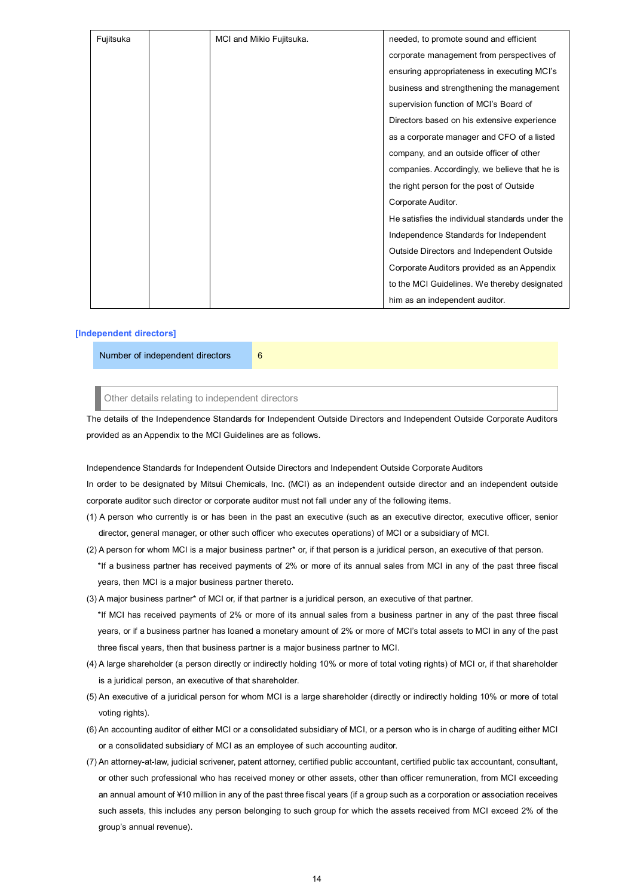| Fujitsuka | MCI and Mikio Fujitsuka. | needed, to promote sound and efficient          |
|-----------|--------------------------|-------------------------------------------------|
|           |                          | corporate management from perspectives of       |
|           |                          | ensuring appropriateness in executing MCI's     |
|           |                          | business and strengthening the management       |
|           |                          | supervision function of MCI's Board of          |
|           |                          | Directors based on his extensive experience     |
|           |                          | as a corporate manager and CFO of a listed      |
|           |                          | company, and an outside officer of other        |
|           |                          | companies. Accordingly, we believe that he is   |
|           |                          | the right person for the post of Outside        |
|           |                          | Corporate Auditor.                              |
|           |                          | He satisfies the individual standards under the |
|           |                          | Independence Standards for Independent          |
|           |                          | Outside Directors and Independent Outside       |
|           |                          | Corporate Auditors provided as an Appendix      |
|           |                          | to the MCI Guidelines. We thereby designated    |
|           |                          | him as an independent auditor.                  |

# **[Independent directors]**

Number of independent directors 6

Other details relating to independent directors

The details of the Independence Standards for Independent Outside Directors and Independent Outside Corporate Auditors provided as an Appendix to the MCI Guidelines are as follows.

Independence Standards for Independent Outside Directors and Independent Outside Corporate Auditors In order to be designated by Mitsui Chemicals, Inc. (MCI) as an independent outside director and an independent outside corporate auditor such director or corporate auditor must not fall under any of the following items.

- (1) A person who currently is or has been in the past an executive (such as an executive director, executive officer, senior director, general manager, or other such officer who executes operations) of MCI or a subsidiary of MCI.
- (2) A person for whom MCI is a major business partner\* or, if that person is a juridical person, an executive of that person. \*If a business partner has received payments of 2% or more of its annual sales from MCI in any of the past three fiscal years, then MCI is a major business partner thereto.
- (3) A major business partner\* of MCI or, if that partner is a juridical person, an executive of that partner. \*If MCI has received payments of 2% or more of its annual sales from a business partner in any of the past three fiscal years, or if a business partner has loaned a monetary amount of 2% or more of MCI's total assets to MCI in any of the past three fiscal years, then that business partner is a major business partner to MCI.
- (4) A large shareholder (a person directly or indirectly holding 10% or more of total voting rights) of MCI or, if that shareholder is a juridical person, an executive of that shareholder.
- (5) An executive of a juridical person for whom MCI is a large shareholder (directly or indirectly holding 10% or more of total voting rights).
- (6) An accounting auditor of either MCI or a consolidated subsidiary of MCI, or a person who is in charge of auditing either MCI or a consolidated subsidiary of MCI as an employee of such accounting auditor.
- (7) An attorney-at-law, judicial scrivener, patent attorney, certified public accountant, certified public tax accountant, consultant, or other such professional who has received money or other assets, other than officer remuneration, from MCI exceeding an annual amount of ¥10 million in any of the past three fiscal years (if a group such as a corporation or association receives such assets, this includes any person belonging to such group for which the assets received from MCI exceed 2% of the group's annual revenue).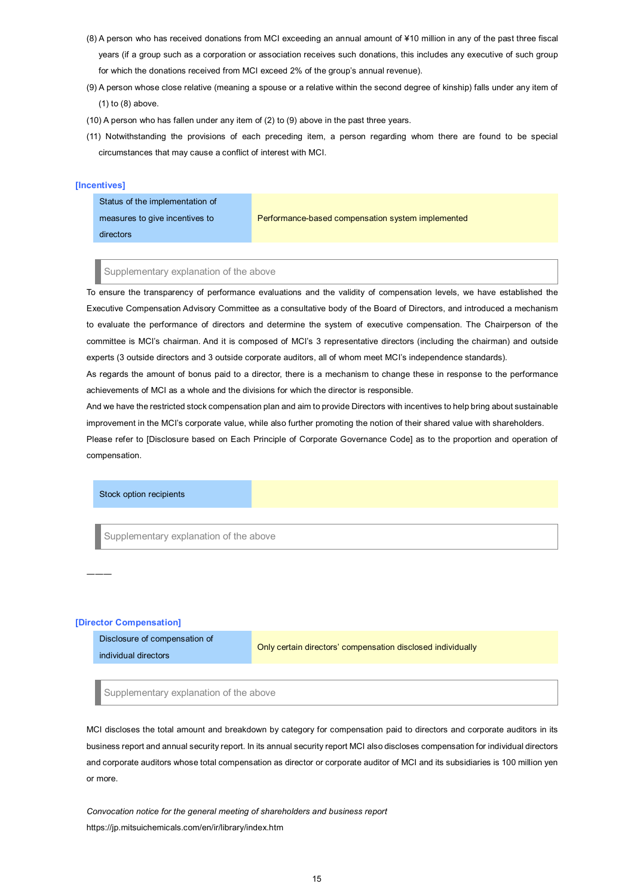- (8) A person who has received donations from MCI exceeding an annual amount of ¥10 million in any of the past three fiscal years (if a group such as a corporation or association receives such donations, this includes any executive of such group for which the donations received from MCI exceed 2% of the group's annual revenue).
- (9) A person whose close relative (meaning a spouse or a relative within the second degree of kinship) falls under any item of (1) to (8) above.
- (10) A person who has fallen under any item of (2) to (9) above in the past three years.
- (11) Notwithstanding the provisions of each preceding item, a person regarding whom there are found to be special circumstances that may cause a conflict of interest with MCI.

# **[Incentives]**

Status of the implementation of measures to give incentives to directors Performance-based compensation system implemented

#### Supplementary explanation of the above

To ensure the transparency of performance evaluations and the validity of compensation levels, we have established the Executive Compensation Advisory Committee as a consultative body of the Board of Directors, and introduced a mechanism to evaluate the performance of directors and determine the system of executive compensation. The Chairperson of the committee is MCI's chairman. And it is composed of MCI's 3 representative directors (including the chairman) and outside experts (3 outside directors and 3 outside corporate auditors, all of whom meet MCI's independence standards).

As regards the amount of bonus paid to a director, there is a mechanism to change these in response to the performance achievements of MCI as a whole and the divisions for which the director is responsible.

And we have the restricted stock compensation plan and aim to provide Directors with incentives to help bring about sustainable improvement in the MCI's corporate value, while also further promoting the notion of their shared value with shareholders.

Please refer to [Disclosure based on Each Principle of Corporate Governance Code] as to the proportion and operation of compensation.

## Stock option recipients

Supplementary explanation of the above

#### **[Director Compensation]**

―――

| Disclosure of compensation of | Only certain directors' compensation disclosed individually |
|-------------------------------|-------------------------------------------------------------|
| individual directors          |                                                             |

Supplementary explanation of the above

MCI discloses the total amount and breakdown by category for compensation paid to directors and corporate auditors in its business report and annual security report. In its annual security report MCI also discloses compensation for individual directors and corporate auditors whose total compensation as director or corporate auditor of MCI and its subsidiaries is 100 million yen or more.

*Convocation notice for the general meeting of shareholders and business report*  https://jp.mitsuichemicals.com/en/ir/library/index.htm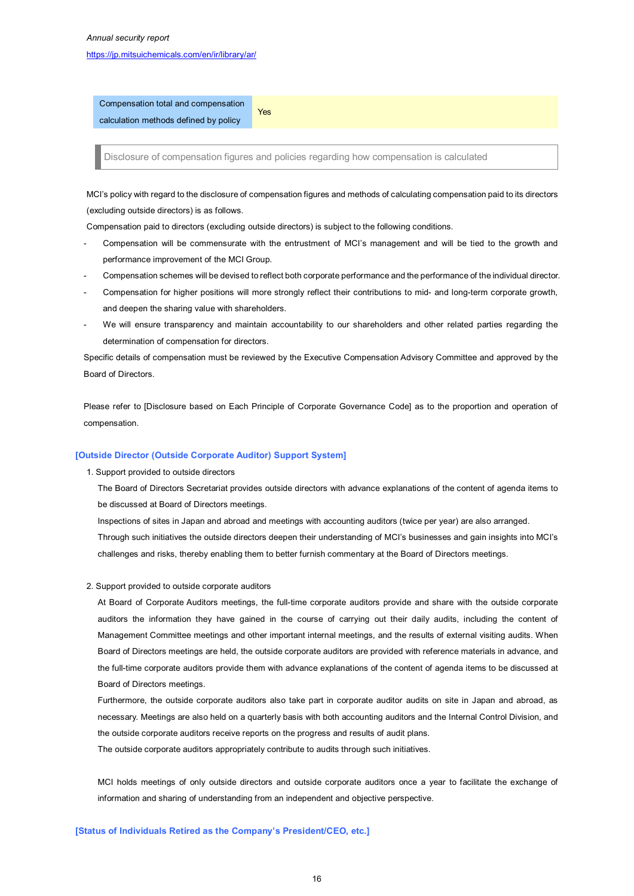# https://jp.mitsuichemicals.com/en/ir/library/ar/

Compensation total and compensation calculation methods defined by policy

Disclosure of compensation figures and policies regarding how compensation is calculated

MCI's policy with regard to the disclosure of compensation figures and methods of calculating compensation paid to its directors (excluding outside directors) is as follows.

Compensation paid to directors (excluding outside directors) is subject to the following conditions.

Yes

- Compensation will be commensurate with the entrustment of MCI's management and will be tied to the growth and performance improvement of the MCI Group.
- Compensation schemes will be devised to reflect both corporate performance and the performance of the individual director.
- Compensation for higher positions will more strongly reflect their contributions to mid- and long-term corporate growth, and deepen the sharing value with shareholders.
- We will ensure transparency and maintain accountability to our shareholders and other related parties regarding the determination of compensation for directors.

Specific details of compensation must be reviewed by the Executive Compensation Advisory Committee and approved by the Board of Directors.

Please refer to [Disclosure based on Each Principle of Corporate Governance Code] as to the proportion and operation of compensation.

#### **[Outside Director (Outside Corporate Auditor) Support System]**

1. Support provided to outside directors

The Board of Directors Secretariat provides outside directors with advance explanations of the content of agenda items to be discussed at Board of Directors meetings.

Inspections of sites in Japan and abroad and meetings with accounting auditors (twice per year) are also arranged. Through such initiatives the outside directors deepen their understanding of MCI's businesses and gain insights into MCI's challenges and risks, thereby enabling them to better furnish commentary at the Board of Directors meetings.

2. Support provided to outside corporate auditors

At Board of Corporate Auditors meetings, the full-time corporate auditors provide and share with the outside corporate auditors the information they have gained in the course of carrying out their daily audits, including the content of Management Committee meetings and other important internal meetings, and the results of external visiting audits. When Board of Directors meetings are held, the outside corporate auditors are provided with reference materials in advance, and the full-time corporate auditors provide them with advance explanations of the content of agenda items to be discussed at Board of Directors meetings.

Furthermore, the outside corporate auditors also take part in corporate auditor audits on site in Japan and abroad, as necessary. Meetings are also held on a quarterly basis with both accounting auditors and the Internal Control Division, and the outside corporate auditors receive reports on the progress and results of audit plans.

The outside corporate auditors appropriately contribute to audits through such initiatives.

MCI holds meetings of only outside directors and outside corporate auditors once a year to facilitate the exchange of information and sharing of understanding from an independent and objective perspective.

**[Status of Individuals Retired as the Company's President/CEO, etc.]**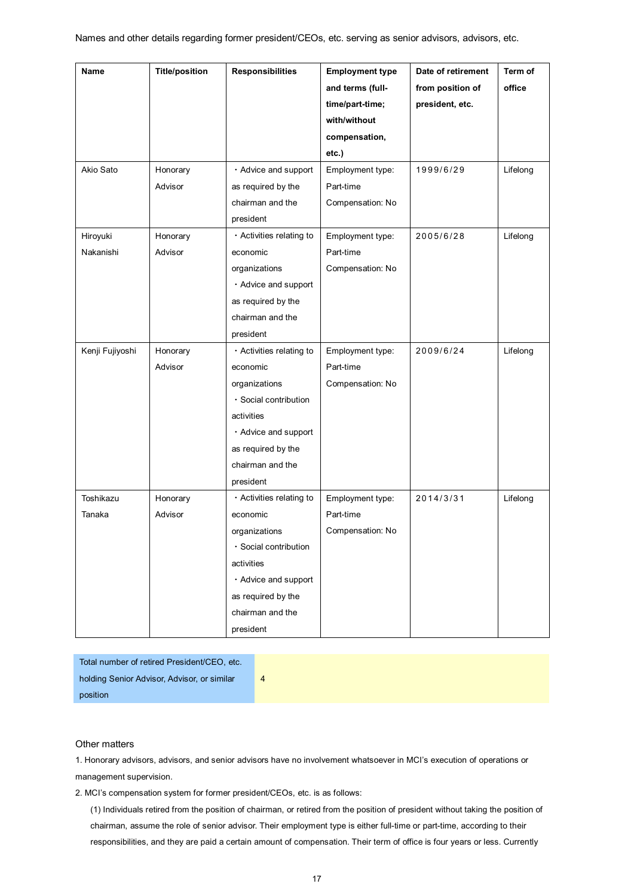| <b>Name</b>     | <b>Title/position</b> | <b>Responsibilities</b>  | <b>Employment type</b> | Date of retirement | Term of  |
|-----------------|-----------------------|--------------------------|------------------------|--------------------|----------|
|                 |                       |                          | and terms (full-       | from position of   | office   |
|                 |                       |                          | time/part-time;        | president, etc.    |          |
|                 |                       |                          | with/without           |                    |          |
|                 |                       |                          | compensation,          |                    |          |
|                 |                       |                          | etc.)                  |                    |          |
| Akio Sato       | Honorary              | · Advice and support     | Employment type:       | 1999/6/29          | Lifelong |
|                 | Advisor               | as required by the       | Part-time              |                    |          |
|                 |                       | chairman and the         | Compensation: No       |                    |          |
|                 |                       | president                |                        |                    |          |
| Hiroyuki        | Honorary              | · Activities relating to | Employment type:       | 2005/6/28          | Lifelong |
| Nakanishi       | Advisor               | economic                 | Part-time              |                    |          |
|                 |                       | organizations            | Compensation: No       |                    |          |
|                 |                       | · Advice and support     |                        |                    |          |
|                 |                       | as required by the       |                        |                    |          |
|                 |                       | chairman and the         |                        |                    |          |
|                 |                       | president                |                        |                    |          |
| Kenji Fujiyoshi | Honorary              | · Activities relating to | Employment type:       | 2009/6/24          | Lifelong |
|                 | Advisor               | economic                 | Part-time              |                    |          |
|                 |                       | organizations            | Compensation: No       |                    |          |
|                 |                       | · Social contribution    |                        |                    |          |
|                 |                       | activities               |                        |                    |          |
|                 |                       | · Advice and support     |                        |                    |          |
|                 |                       | as required by the       |                        |                    |          |
|                 |                       | chairman and the         |                        |                    |          |
|                 |                       | president                |                        |                    |          |
| Toshikazu       | Honorary              | · Activities relating to | Employment type:       | 2014/3/31          | Lifelong |
| Tanaka          | Advisor               | economic                 | Part-time              |                    |          |
|                 |                       | organizations            | Compensation: No       |                    |          |
|                 |                       | · Social contribution    |                        |                    |          |
|                 |                       | activities               |                        |                    |          |
|                 |                       | · Advice and support     |                        |                    |          |
|                 |                       | as required by the       |                        |                    |          |
|                 |                       | chairman and the         |                        |                    |          |
|                 |                       | president                |                        |                    |          |

Total number of retired President/CEO, etc. holding Senior Advisor, Advisor, or similar position

# Other matters

1. Honorary advisors, advisors, and senior advisors have no involvement whatsoever in MCI's execution of operations or management supervision.

4

2. MCI's compensation system for former president/CEOs, etc. is as follows:

(1) Individuals retired from the position of chairman, or retired from the position of president without taking the position of chairman, assume the role of senior advisor. Their employment type is either full-time or part-time, according to their responsibilities, and they are paid a certain amount of compensation. Their term of office is four years or less. Currently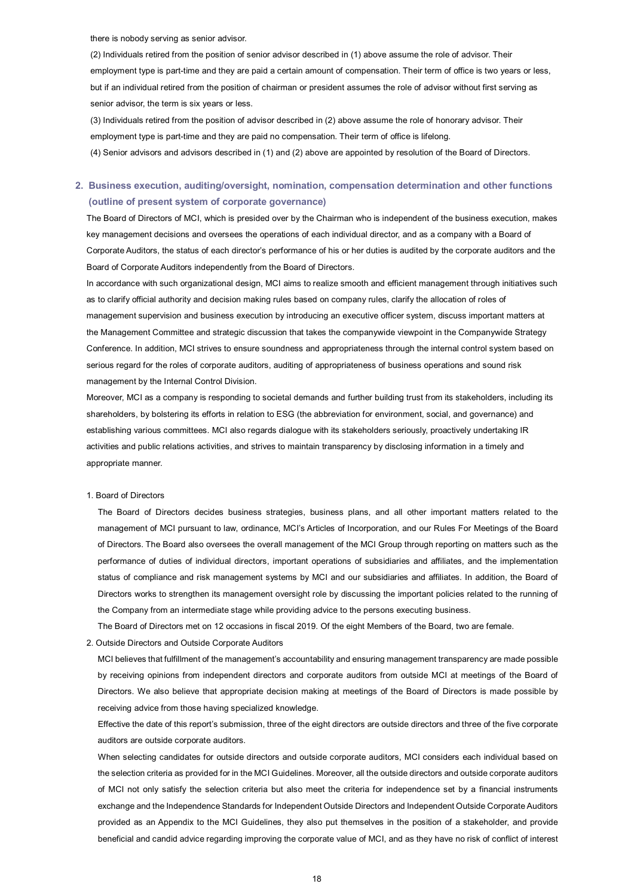there is nobody serving as senior advisor.

(2) Individuals retired from the position of senior advisor described in (1) above assume the role of advisor. Their employment type is part-time and they are paid a certain amount of compensation. Their term of office is two years or less, but if an individual retired from the position of chairman or president assumes the role of advisor without first serving as senior advisor, the term is six years or less.

(3) Individuals retired from the position of advisor described in (2) above assume the role of honorary advisor. Their employment type is part-time and they are paid no compensation. Their term of office is lifelong.

(4) Senior advisors and advisors described in (1) and (2) above are appointed by resolution of the Board of Directors.

# **2. Business execution, auditing/oversight, nomination, compensation determination and other functions (outline of present system of corporate governance)**

The Board of Directors of MCI, which is presided over by the Chairman who is independent of the business execution, makes key management decisions and oversees the operations of each individual director, and as a company with a Board of Corporate Auditors, the status of each director's performance of his or her duties is audited by the corporate auditors and the Board of Corporate Auditors independently from the Board of Directors.

In accordance with such organizational design, MCI aims to realize smooth and efficient management through initiatives such as to clarify official authority and decision making rules based on company rules, clarify the allocation of roles of management supervision and business execution by introducing an executive officer system, discuss important matters at the Management Committee and strategic discussion that takes the companywide viewpoint in the Companywide Strategy Conference. In addition, MCI strives to ensure soundness and appropriateness through the internal control system based on serious regard for the roles of corporate auditors, auditing of appropriateness of business operations and sound risk management by the Internal Control Division.

Moreover, MCI as a company is responding to societal demands and further building trust from its stakeholders, including its shareholders, by bolstering its efforts in relation to ESG (the abbreviation for environment, social, and governance) and establishing various committees. MCI also regards dialogue with its stakeholders seriously, proactively undertaking IR activities and public relations activities, and strives to maintain transparency by disclosing information in a timely and appropriate manner.

## 1. Board of Directors

 The Board of Directors decides business strategies, business plans, and all other important matters related to the management of MCI pursuant to law, ordinance, MCI's Articles of Incorporation, and our Rules For Meetings of the Board of Directors. The Board also oversees the overall management of the MCI Group through reporting on matters such as the performance of duties of individual directors, important operations of subsidiaries and affiliates, and the implementation status of compliance and risk management systems by MCI and our subsidiaries and affiliates. In addition, the Board of Directors works to strengthen its management oversight role by discussing the important policies related to the running of the Company from an intermediate stage while providing advice to the persons executing business.

The Board of Directors met on 12 occasions in fiscal 2019. Of the eight Members of the Board, two are female.

2. Outside Directors and Outside Corporate Auditors

 MCI believes that fulfillment of the management's accountability and ensuring management transparency are made possible by receiving opinions from independent directors and corporate auditors from outside MCI at meetings of the Board of Directors. We also believe that appropriate decision making at meetings of the Board of Directors is made possible by receiving advice from those having specialized knowledge.

 Effective the date of this report's submission, three of the eight directors are outside directors and three of the five corporate auditors are outside corporate auditors.

 When selecting candidates for outside directors and outside corporate auditors, MCI considers each individual based on the selection criteria as provided for in the MCI Guidelines. Moreover, all the outside directors and outside corporate auditors of MCI not only satisfy the selection criteria but also meet the criteria for independence set by a financial instruments exchange and the Independence Standards for Independent Outside Directors and Independent Outside Corporate Auditors provided as an Appendix to the MCI Guidelines, they also put themselves in the position of a stakeholder, and provide beneficial and candid advice regarding improving the corporate value of MCI, and as they have no risk of conflict of interest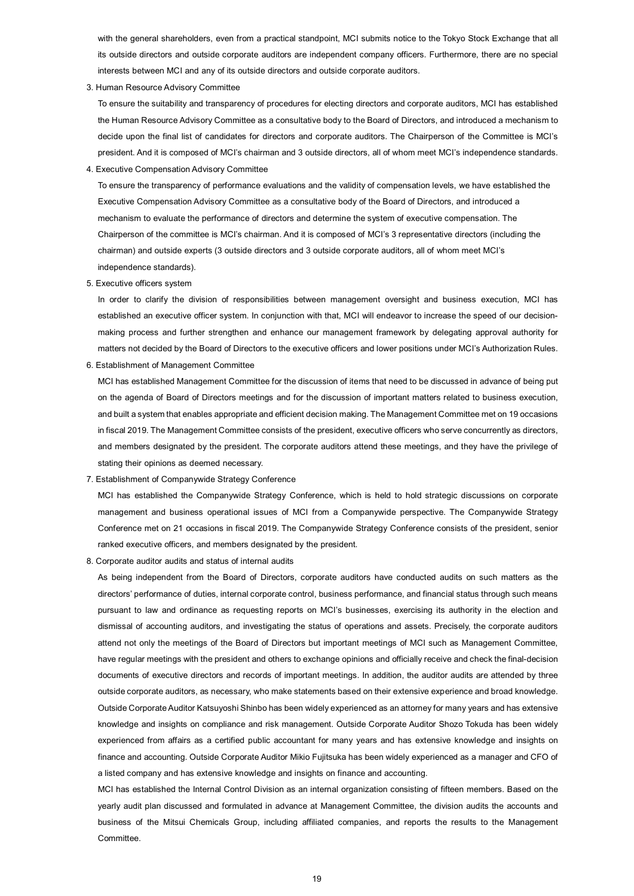with the general shareholders, even from a practical standpoint, MCI submits notice to the Tokyo Stock Exchange that all its outside directors and outside corporate auditors are independent company officers. Furthermore, there are no special interests between MCI and any of its outside directors and outside corporate auditors.

3. Human Resource Advisory Committee

To ensure the suitability and transparency of procedures for electing directors and corporate auditors, MCI has established the Human Resource Advisory Committee as a consultative body to the Board of Directors, and introduced a mechanism to decide upon the final list of candidates for directors and corporate auditors. The Chairperson of the Committee is MCI's president. And it is composed of MCI's chairman and 3 outside directors, all of whom meet MCI's independence standards.

4. Executive Compensation Advisory Committee

To ensure the transparency of performance evaluations and the validity of compensation levels, we have established the Executive Compensation Advisory Committee as a consultative body of the Board of Directors, and introduced a mechanism to evaluate the performance of directors and determine the system of executive compensation. The Chairperson of the committee is MCI's chairman. And it is composed of MCI's 3 representative directors (including the chairman) and outside experts (3 outside directors and 3 outside corporate auditors, all of whom meet MCI's independence standards).

5. Executive officers system

 In order to clarify the division of responsibilities between management oversight and business execution, MCI has established an executive officer system. In conjunction with that, MCI will endeavor to increase the speed of our decisionmaking process and further strengthen and enhance our management framework by delegating approval authority for matters not decided by the Board of Directors to the executive officers and lower positions under MCI's Authorization Rules.

6. Establishment of Management Committee

 MCI has established Management Committee for the discussion of items that need to be discussed in advance of being put on the agenda of Board of Directors meetings and for the discussion of important matters related to business execution, and built a system that enables appropriate and efficient decision making. The Management Committee met on 19 occasions in fiscal 2019. The Management Committee consists of the president, executive officers who serve concurrently as directors, and members designated by the president. The corporate auditors attend these meetings, and they have the privilege of stating their opinions as deemed necessary.

7. Establishment of Companywide Strategy Conference

 MCI has established the Companywide Strategy Conference, which is held to hold strategic discussions on corporate management and business operational issues of MCI from a Companywide perspective. The Companywide Strategy Conference met on 21 occasions in fiscal 2019. The Companywide Strategy Conference consists of the president, senior ranked executive officers, and members designated by the president.

8. Corporate auditor audits and status of internal audits

 As being independent from the Board of Directors, corporate auditors have conducted audits on such matters as the directors' performance of duties, internal corporate control, business performance, and financial status through such means pursuant to law and ordinance as requesting reports on MCI's businesses, exercising its authority in the election and dismissal of accounting auditors, and investigating the status of operations and assets. Precisely, the corporate auditors attend not only the meetings of the Board of Directors but important meetings of MCI such as Management Committee, have regular meetings with the president and others to exchange opinions and officially receive and check the final-decision documents of executive directors and records of important meetings. In addition, the auditor audits are attended by three outside corporate auditors, as necessary, who make statements based on their extensive experience and broad knowledge. Outside Corporate Auditor Katsuyoshi Shinbo has been widely experienced as an attorney for many years and has extensive knowledge and insights on compliance and risk management. Outside Corporate Auditor Shozo Tokuda has been widely experienced from affairs as a certified public accountant for many years and has extensive knowledge and insights on finance and accounting. Outside Corporate Auditor Mikio Fujitsuka has been widely experienced as a manager and CFO of a listed company and has extensive knowledge and insights on finance and accounting.

 MCI has established the Internal Control Division as an internal organization consisting of fifteen members. Based on the yearly audit plan discussed and formulated in advance at Management Committee, the division audits the accounts and business of the Mitsui Chemicals Group, including affiliated companies, and reports the results to the Management Committee.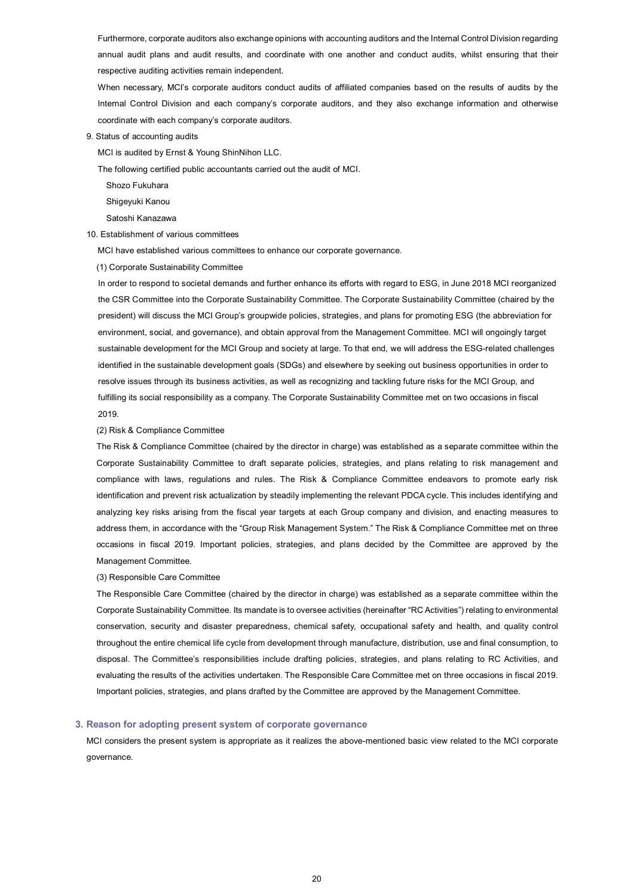Furthermore, corporate auditors also exchange opinions with accounting auditors and the Internal Control Division regarding annual audit plans and audit results, and coordinate with one another and conduct audits, whilst ensuring that their respective auditing activities remain independent.

 When necessary, MCI's corporate auditors conduct audits of affiliated companies based on the results of audits by the Internal Control Division and each company's corporate auditors, and they also exchange information and otherwise coordinate with each company's corporate auditors.

9. Status of accounting audits

MCI is audited by Ernst & Young ShinNihon LLC.

The following certified public accountants carried out the audit of MCI.

Shozo Fukuhara

Shigeyuki Kanou

Satoshi Kanazawa

#### 10. Establishment of various committees

MCI have established various committees to enhance our corporate governance.

(1) Corporate Sustainability Committee

In order to respond to societal demands and further enhance its efforts with regard to ESG, in June 2018 MCI reorganized the CSR Committee into the Corporate Sustainability Committee. The Corporate Sustainability Committee (chaired by the president) will discuss the MCI Group's groupwide policies, strategies, and plans for promoting ESG (the abbreviation for environment, social, and governance), and obtain approval from the Management Committee. MCI will ongoingly target sustainable development for the MCI Group and society at large. To that end, we will address the ESG-related challenges identified in the sustainable development goals (SDGs) and elsewhere by seeking out business opportunities in order to resolve issues through its business activities, as well as recognizing and tackling future risks for the MCI Group, and fulfilling its social responsibility as a company. The Corporate Sustainability Committee met on two occasions in fiscal 2019.

#### (2) Risk & Compliance Committee

The Risk & Compliance Committee (chaired by the director in charge) was established as a separate committee within the Corporate Sustainability Committee to draft separate policies, strategies, and plans relating to risk management and compliance with laws, regulations and rules. The Risk & Compliance Committee endeavors to promote early risk identification and prevent risk actualization by steadily implementing the relevant PDCA cycle. This includes identifying and analyzing key risks arising from the fiscal year targets at each Group company and division, and enacting measures to address them, in accordance with the "Group Risk Management System." The Risk & Compliance Committee met on three occasions in fiscal 2019. Important policies, strategies, and plans decided by the Committee are approved by the Management Committee.

#### (3) Responsible Care Committee

The Responsible Care Committee (chaired by the director in charge) was established as a separate committee within the Corporate Sustainability Committee. Its mandate is to oversee activities (hereinafter "RC Activities") relating to environmental conservation, security and disaster preparedness, chemical safety, occupational safety and health, and quality control throughout the entire chemical life cycle from development through manufacture, distribution, use and final consumption, to disposal. The Committee's responsibilities include drafting policies, strategies, and plans relating to RC Activities, and evaluating the results of the activities undertaken. The Responsible Care Committee met on three occasions in fiscal 2019. Important policies, strategies, and plans drafted by the Committee are approved by the Management Committee.

#### **3. Reason for adopting present system of corporate governance**

MCI considers the present system is appropriate as it realizes the above-mentioned basic view related to the MCI corporate governance.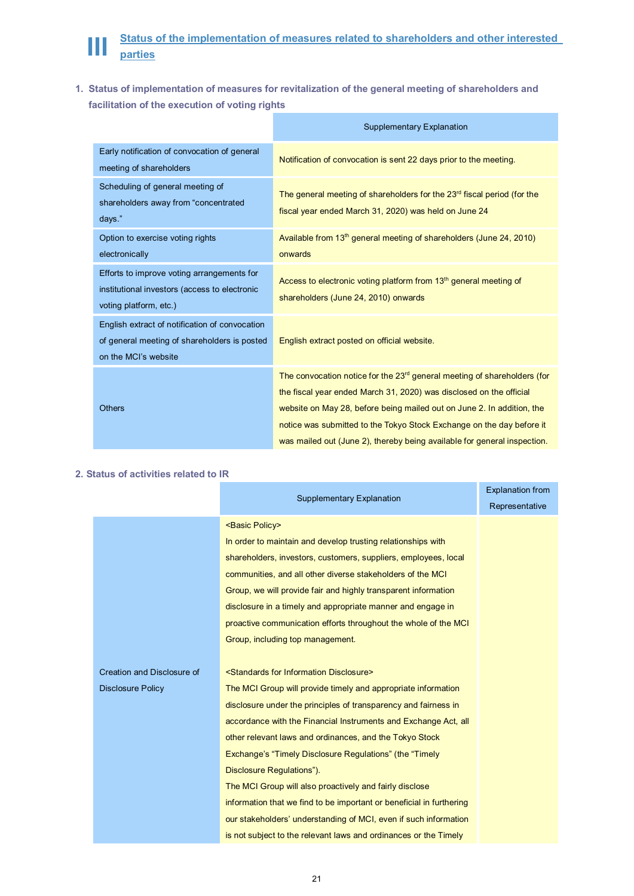

**1. Status of implementation of measures for revitalization of the general meeting of shareholders and facilitation of the execution of voting rights** 

|                                                                                                                        | <b>Supplementary Explanation</b>                                                                                                                                                                                                                                                                                                                                                           |
|------------------------------------------------------------------------------------------------------------------------|--------------------------------------------------------------------------------------------------------------------------------------------------------------------------------------------------------------------------------------------------------------------------------------------------------------------------------------------------------------------------------------------|
| Early notification of convocation of general<br>meeting of shareholders                                                | Notification of convocation is sent 22 days prior to the meeting.                                                                                                                                                                                                                                                                                                                          |
| Scheduling of general meeting of<br>shareholders away from "concentrated<br>days."                                     | The general meeting of shareholders for the 23 <sup>rd</sup> fiscal period (for the<br>fiscal year ended March 31, 2020) was held on June 24                                                                                                                                                                                                                                               |
| Option to exercise voting rights<br>electronically                                                                     | Available from 13 <sup>th</sup> general meeting of shareholders (June 24, 2010)<br>onwards                                                                                                                                                                                                                                                                                                 |
| Efforts to improve voting arrangements for<br>institutional investors (access to electronic<br>voting platform, etc.)  | Access to electronic voting platform from 13 <sup>th</sup> general meeting of<br>shareholders (June 24, 2010) onwards                                                                                                                                                                                                                                                                      |
| English extract of notification of convocation<br>of general meeting of shareholders is posted<br>on the MCI's website | English extract posted on official website.                                                                                                                                                                                                                                                                                                                                                |
| <b>Others</b>                                                                                                          | The convocation notice for the 23 <sup>rd</sup> general meeting of shareholders (for<br>the fiscal year ended March 31, 2020) was disclosed on the official<br>website on May 28, before being mailed out on June 2. In addition, the<br>notice was submitted to the Tokyo Stock Exchange on the day before it<br>was mailed out (June 2), thereby being available for general inspection. |

# **2. Status of activities related to IR**

|                            | <b>Supplementary Explanation</b>                                     | <b>Explanation from</b><br>Representative |
|----------------------------|----------------------------------------------------------------------|-------------------------------------------|
|                            | <basic policy=""></basic>                                            |                                           |
|                            | In order to maintain and develop trusting relationships with         |                                           |
|                            | shareholders, investors, customers, suppliers, employees, local      |                                           |
|                            | communities, and all other diverse stakeholders of the MCI           |                                           |
|                            | Group, we will provide fair and highly transparent information       |                                           |
|                            | disclosure in a timely and appropriate manner and engage in          |                                           |
|                            | proactive communication efforts throughout the whole of the MCI      |                                           |
|                            | Group, including top management.                                     |                                           |
|                            |                                                                      |                                           |
| Creation and Disclosure of | <standards disclosure="" for="" information=""></standards>          |                                           |
| <b>Disclosure Policy</b>   | The MCI Group will provide timely and appropriate information        |                                           |
|                            | disclosure under the principles of transparency and fairness in      |                                           |
|                            | accordance with the Financial Instruments and Exchange Act, all      |                                           |
|                            | other relevant laws and ordinances, and the Tokyo Stock              |                                           |
|                            | Exchange's "Timely Disclosure Regulations" (the "Timely              |                                           |
|                            | Disclosure Regulations").                                            |                                           |
|                            | The MCI Group will also proactively and fairly disclose              |                                           |
|                            | information that we find to be important or beneficial in furthering |                                           |
|                            | our stakeholders' understanding of MCI, even if such information     |                                           |
|                            | is not subject to the relevant laws and ordinances or the Timely     |                                           |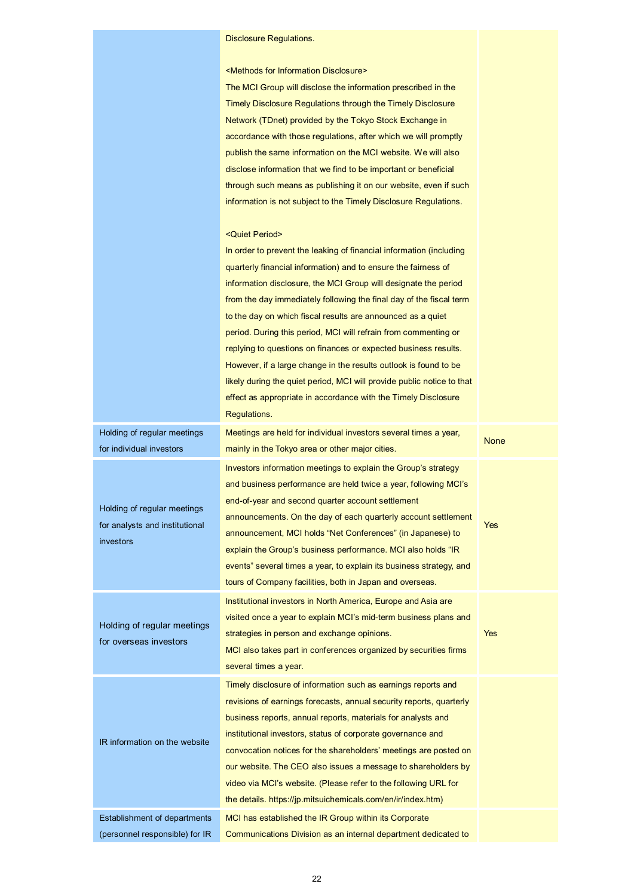# Disclosure Regulations.

<Methods for Information Disclosure>

The MCI Group will disclose the information prescribed in the Timely Disclosure Regulations through the Timely Disclosure Network (TDnet) provided by the Tokyo Stock Exchange in accordance with those regulations, after which we will promptly publish the same information on the MCI website. We will also disclose information that we find to be important or beneficial through such means as publishing it on our website, even if such information is not subject to the Timely Disclosure Regulations.

### <Quiet Period>

|                                                                            | In order to prevent the leaking of financial information (including<br>quarterly financial information) and to ensure the fairness of<br>information disclosure, the MCI Group will designate the period<br>from the day immediately following the final day of the fiscal term<br>to the day on which fiscal results are announced as a quiet<br>period. During this period, MCI will refrain from commenting or<br>replying to questions on finances or expected business results.<br>However, if a large change in the results outlook is found to be<br>likely during the quiet period, MCI will provide public notice to that<br>effect as appropriate in accordance with the Timely Disclosure<br>Regulations. |             |
|----------------------------------------------------------------------------|----------------------------------------------------------------------------------------------------------------------------------------------------------------------------------------------------------------------------------------------------------------------------------------------------------------------------------------------------------------------------------------------------------------------------------------------------------------------------------------------------------------------------------------------------------------------------------------------------------------------------------------------------------------------------------------------------------------------|-------------|
| Holding of regular meetings<br>for individual investors                    | Meetings are held for individual investors several times a year,<br>mainly in the Tokyo area or other major cities.                                                                                                                                                                                                                                                                                                                                                                                                                                                                                                                                                                                                  | <b>None</b> |
| Holding of regular meetings<br>for analysts and institutional<br>investors | Investors information meetings to explain the Group's strategy<br>and business performance are held twice a year, following MCI's<br>end-of-year and second quarter account settlement<br>announcements. On the day of each quarterly account settlement<br>announcement, MCI holds "Net Conferences" (in Japanese) to<br>explain the Group's business performance. MCI also holds "IR<br>events" several times a year, to explain its business strategy, and<br>tours of Company facilities, both in Japan and overseas.                                                                                                                                                                                            | Yes         |
| Holding of regular meetings<br>for overseas investors                      | Institutional investors in North America, Europe and Asia are<br>visited once a year to explain MCI's mid-term business plans and<br>strategies in person and exchange opinions.<br>MCI also takes part in conferences organized by securities firms<br>several times a year.                                                                                                                                                                                                                                                                                                                                                                                                                                        | <b>Yes</b>  |
| IR information on the website                                              | Timely disclosure of information such as earnings reports and<br>revisions of earnings forecasts, annual security reports, quarterly<br>business reports, annual reports, materials for analysts and<br>institutional investors, status of corporate governance and<br>convocation notices for the shareholders' meetings are posted on<br>our website. The CEO also issues a message to shareholders by<br>video via MCI's website. (Please refer to the following URL for<br>the details. https://jp.mitsuichemicals.com/en/ir/index.htm)                                                                                                                                                                          |             |
| Establishment of departments                                               | MCI has established the IR Group within its Corporate                                                                                                                                                                                                                                                                                                                                                                                                                                                                                                                                                                                                                                                                |             |

Communications Division as an internal department dedicated to

(personnel responsible) for IR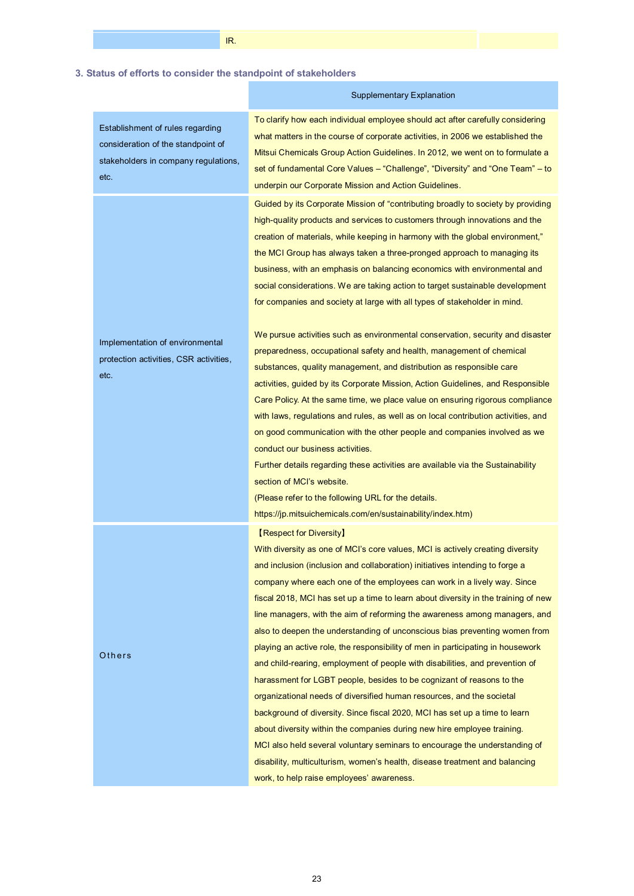# **3. Status of efforts to consider the standpoint of stakeholders**

IR.

| Establishment of rules regarding<br>consideration of the standpoint of<br>stakeholders in company regulations,<br>etc. | To clarify how each individual employee should act after carefully considering<br>what matters in the course of corporate activities, in 2006 we established the<br>Mitsui Chemicals Group Action Guidelines. In 2012, we went on to formulate a<br>set of fundamental Core Values - "Challenge", "Diversity" and "One Team" - to<br>underpin our Corporate Mission and Action Guidelines.                                                                                                                                                                                                                                                                                                                                                                                                                                                                                                                                                                                                                                                                                                                                                                                                                            |
|------------------------------------------------------------------------------------------------------------------------|-----------------------------------------------------------------------------------------------------------------------------------------------------------------------------------------------------------------------------------------------------------------------------------------------------------------------------------------------------------------------------------------------------------------------------------------------------------------------------------------------------------------------------------------------------------------------------------------------------------------------------------------------------------------------------------------------------------------------------------------------------------------------------------------------------------------------------------------------------------------------------------------------------------------------------------------------------------------------------------------------------------------------------------------------------------------------------------------------------------------------------------------------------------------------------------------------------------------------|
|                                                                                                                        | Guided by its Corporate Mission of "contributing broadly to society by providing<br>high-quality products and services to customers through innovations and the<br>creation of materials, while keeping in harmony with the global environment,"<br>the MCI Group has always taken a three-pronged approach to managing its<br>business, with an emphasis on balancing economics with environmental and<br>social considerations. We are taking action to target sustainable development<br>for companies and society at large with all types of stakeholder in mind.                                                                                                                                                                                                                                                                                                                                                                                                                                                                                                                                                                                                                                                 |
| Implementation of environmental<br>protection activities, CSR activities,<br>etc.                                      | We pursue activities such as environmental conservation, security and disaster<br>preparedness, occupational safety and health, management of chemical<br>substances, quality management, and distribution as responsible care<br>activities, guided by its Corporate Mission, Action Guidelines, and Responsible<br>Care Policy. At the same time, we place value on ensuring rigorous compliance<br>with laws, regulations and rules, as well as on local contribution activities, and<br>on good communication with the other people and companies involved as we<br>conduct our business activities.<br>Further details regarding these activities are available via the Sustainability<br>section of MCI's website.<br>(Please refer to the following URL for the details.<br>https://jp.mitsuichemicals.com/en/sustainability/index.htm)                                                                                                                                                                                                                                                                                                                                                                        |
| Others                                                                                                                 | <b>[Respect for Diversity]</b><br>With diversity as one of MCI's core values, MCI is actively creating diversity<br>and inclusion (inclusion and collaboration) initiatives intending to forge a<br>company where each one of the employees can work in a lively way. Since<br>fiscal 2018, MCI has set up a time to learn about diversity in the training of new<br>line managers, with the aim of reforming the awareness among managers, and<br>also to deepen the understanding of unconscious bias preventing women from<br>playing an active role, the responsibility of men in participating in housework<br>and child-rearing, employment of people with disabilities, and prevention of<br>harassment for LGBT people, besides to be cognizant of reasons to the<br>organizational needs of diversified human resources, and the societal<br>background of diversity. Since fiscal 2020, MCI has set up a time to learn<br>about diversity within the companies during new hire employee training.<br>MCI also held several voluntary seminars to encourage the understanding of<br>disability, multiculturism, women's health, disease treatment and balancing<br>work, to help raise employees' awareness. |

Supplementary Explanation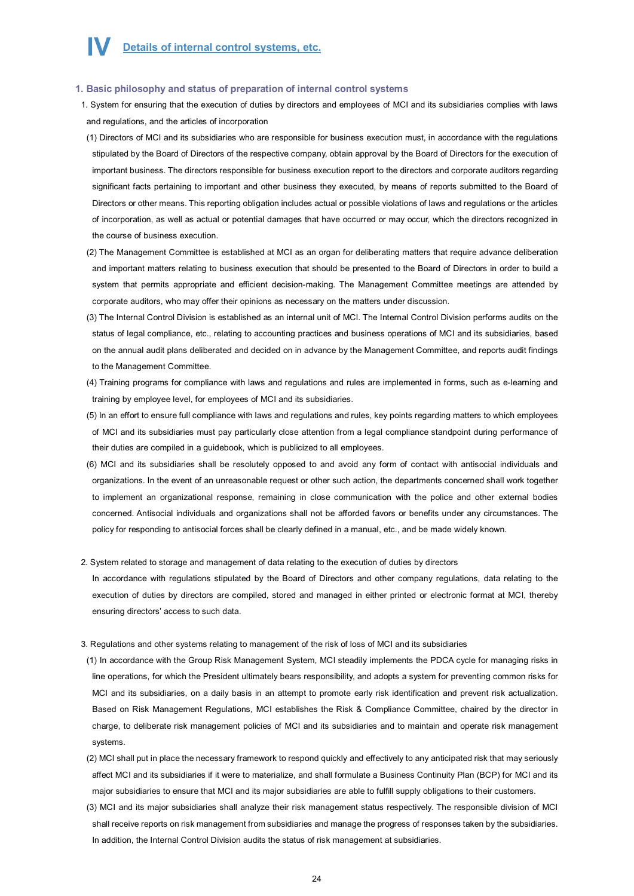## **1. Basic philosophy and status of preparation of internal control systems**

- 1. System for ensuring that the execution of duties by directors and employees of MCI and its subsidiaries complies with laws and regulations, and the articles of incorporation
- (1) Directors of MCI and its subsidiaries who are responsible for business execution must, in accordance with the regulations stipulated by the Board of Directors of the respective company, obtain approval by the Board of Directors for the execution of important business. The directors responsible for business execution report to the directors and corporate auditors regarding significant facts pertaining to important and other business they executed, by means of reports submitted to the Board of Directors or other means. This reporting obligation includes actual or possible violations of laws and regulations or the articles of incorporation, as well as actual or potential damages that have occurred or may occur, which the directors recognized in the course of business execution.
- (2) The Management Committee is established at MCI as an organ for deliberating matters that require advance deliberation and important matters relating to business execution that should be presented to the Board of Directors in order to build a system that permits appropriate and efficient decision-making. The Management Committee meetings are attended by corporate auditors, who may offer their opinions as necessary on the matters under discussion.
- (3) The Internal Control Division is established as an internal unit of MCI. The Internal Control Division performs audits on the status of legal compliance, etc., relating to accounting practices and business operations of MCI and its subsidiaries, based on the annual audit plans deliberated and decided on in advance by the Management Committee, and reports audit findings to the Management Committee.
- (4) Training programs for compliance with laws and regulations and rules are implemented in forms, such as e-learning and training by employee level, for employees of MCI and its subsidiaries.
- (5) In an effort to ensure full compliance with laws and regulations and rules, key points regarding matters to which employees of MCI and its subsidiaries must pay particularly close attention from a legal compliance standpoint during performance of their duties are compiled in a guidebook, which is publicized to all employees.
- (6) MCI and its subsidiaries shall be resolutely opposed to and avoid any form of contact with antisocial individuals and organizations. In the event of an unreasonable request or other such action, the departments concerned shall work together to implement an organizational response, remaining in close communication with the police and other external bodies concerned. Antisocial individuals and organizations shall not be afforded favors or benefits under any circumstances. The policy for responding to antisocial forces shall be clearly defined in a manual, etc., and be made widely known.

#### 2. System related to storage and management of data relating to the execution of duties by directors

In accordance with regulations stipulated by the Board of Directors and other company regulations, data relating to the execution of duties by directors are compiled, stored and managed in either printed or electronic format at MCI, thereby ensuring directors' access to such data.

- 3. Regulations and other systems relating to management of the risk of loss of MCI and its subsidiaries
- (1) In accordance with the Group Risk Management System, MCI steadily implements the PDCA cycle for managing risks in line operations, for which the President ultimately bears responsibility, and adopts a system for preventing common risks for MCI and its subsidiaries, on a daily basis in an attempt to promote early risk identification and prevent risk actualization. Based on Risk Management Regulations, MCI establishes the Risk & Compliance Committee, chaired by the director in charge, to deliberate risk management policies of MCI and its subsidiaries and to maintain and operate risk management systems.
- (2) MCI shall put in place the necessary framework to respond quickly and effectively to any anticipated risk that may seriously affect MCI and its subsidiaries if it were to materialize, and shall formulate a Business Continuity Plan (BCP) for MCI and its major subsidiaries to ensure that MCI and its major subsidiaries are able to fulfill supply obligations to their customers.
- (3) MCI and its major subsidiaries shall analyze their risk management status respectively. The responsible division of MCI shall receive reports on risk management from subsidiaries and manage the progress of responses taken by the subsidiaries. In addition, the Internal Control Division audits the status of risk management at subsidiaries.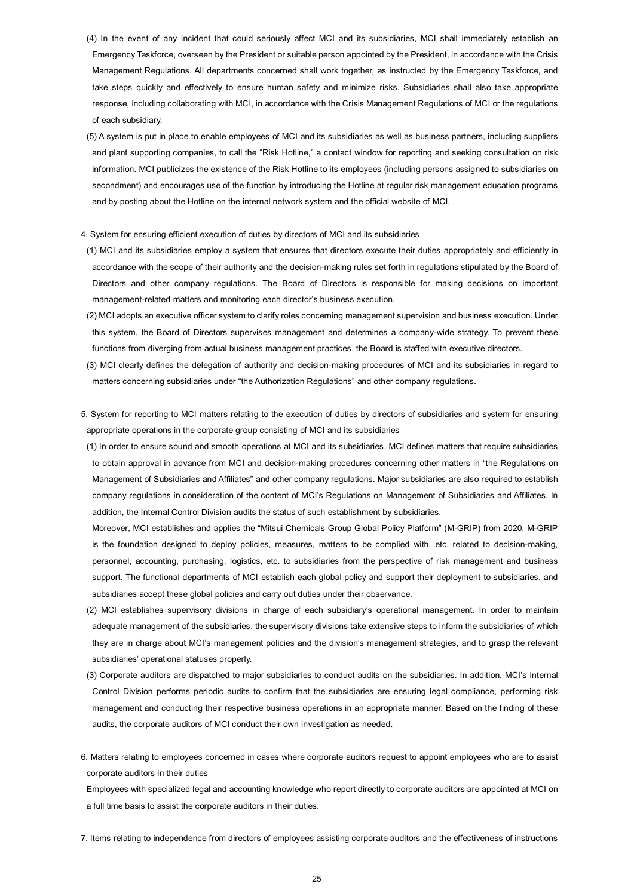- (4) In the event of any incident that could seriously affect MCI and its subsidiaries, MCI shall immediately establish an Emergency Taskforce, overseen by the President or suitable person appointed by the President, in accordance with the Crisis Management Regulations. All departments concerned shall work together, as instructed by the Emergency Taskforce, and take steps quickly and effectively to ensure human safety and minimize risks. Subsidiaries shall also take appropriate response, including collaborating with MCI, in accordance with the Crisis Management Regulations of MCI or the regulations of each subsidiary.
- (5) A system is put in place to enable employees of MCI and its subsidiaries as well as business partners, including suppliers and plant supporting companies, to call the "Risk Hotline," a contact window for reporting and seeking consultation on risk information. MCI publicizes the existence of the Risk Hotline to its employees (including persons assigned to subsidiaries on secondment) and encourages use of the function by introducing the Hotline at regular risk management education programs and by posting about the Hotline on the internal network system and the official website of MCI.
- 4. System for ensuring efficient execution of duties by directors of MCI and its subsidiaries
- (1) MCI and its subsidiaries employ a system that ensures that directors execute their duties appropriately and efficiently in accordance with the scope of their authority and the decision-making rules set forth in regulations stipulated by the Board of Directors and other company regulations. The Board of Directors is responsible for making decisions on important management-related matters and monitoring each director's business execution.
- (2) MCI adopts an executive officer system to clarify roles concerning management supervision and business execution. Under this system, the Board of Directors supervises management and determines a company-wide strategy. To prevent these functions from diverging from actual business management practices, the Board is staffed with executive directors.
- (3) MCI clearly defines the delegation of authority and decision-making procedures of MCI and its subsidiaries in regard to matters concerning subsidiaries under "the Authorization Regulations" and other company regulations.
- 5. System for reporting to MCI matters relating to the execution of duties by directors of subsidiaries and system for ensuring appropriate operations in the corporate group consisting of MCI and its subsidiaries
- (1) In order to ensure sound and smooth operations at MCI and its subsidiaries, MCI defines matters that require subsidiaries to obtain approval in advance from MCI and decision-making procedures concerning other matters in "the Regulations on Management of Subsidiaries and Affiliates" and other company regulations. Major subsidiaries are also required to establish company regulations in consideration of the content of MCI's Regulations on Management of Subsidiaries and Affiliates. In addition, the Internal Control Division audits the status of such establishment by subsidiaries.

Moreover, MCI establishes and applies the "Mitsui Chemicals Group Global Policy Platform" (M-GRIP) from 2020. M-GRIP is the foundation designed to deploy policies, measures, matters to be complied with, etc. related to decision-making, personnel, accounting, purchasing, logistics, etc. to subsidiaries from the perspective of risk management and business support. The functional departments of MCI establish each global policy and support their deployment to subsidiaries, and subsidiaries accept these global policies and carry out duties under their observance.

- (2) MCI establishes supervisory divisions in charge of each subsidiary's operational management. In order to maintain adequate management of the subsidiaries, the supervisory divisions take extensive steps to inform the subsidiaries of which they are in charge about MCI's management policies and the division's management strategies, and to grasp the relevant subsidiaries' operational statuses properly.
- (3) Corporate auditors are dispatched to major subsidiaries to conduct audits on the subsidiaries. In addition, MCI's Internal Control Division performs periodic audits to confirm that the subsidiaries are ensuring legal compliance, performing risk management and conducting their respective business operations in an appropriate manner. Based on the finding of these audits, the corporate auditors of MCI conduct their own investigation as needed.
- 6. Matters relating to employees concerned in cases where corporate auditors request to appoint employees who are to assist corporate auditors in their duties

Employees with specialized legal and accounting knowledge who report directly to corporate auditors are appointed at MCI on a full time basis to assist the corporate auditors in their duties.

7. Items relating to independence from directors of employees assisting corporate auditors and the effectiveness of instructions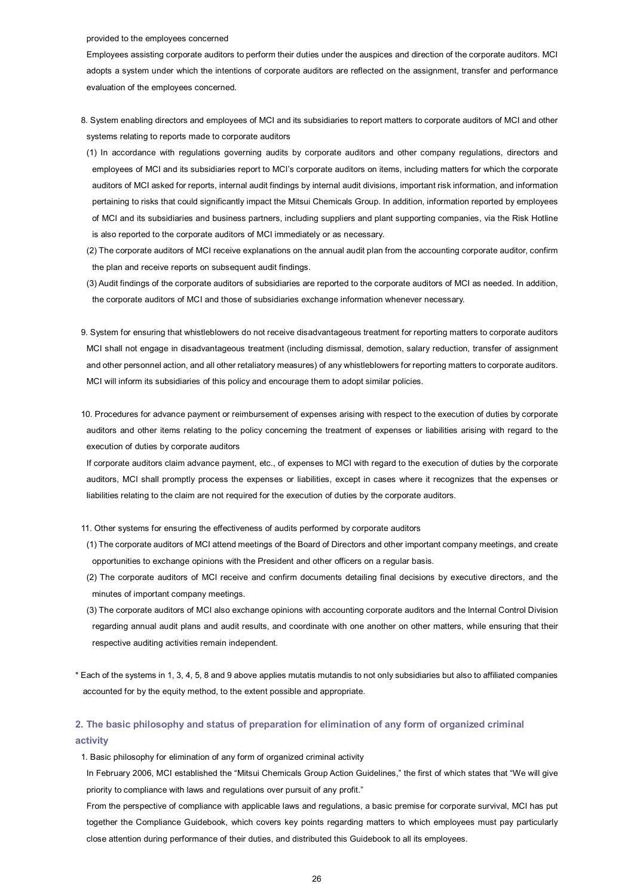#### provided to the employees concerned

Employees assisting corporate auditors to perform their duties under the auspices and direction of the corporate auditors. MCI adopts a system under which the intentions of corporate auditors are reflected on the assignment, transfer and performance evaluation of the employees concerned.

- 8. System enabling directors and employees of MCI and its subsidiaries to report matters to corporate auditors of MCI and other systems relating to reports made to corporate auditors
- (1) In accordance with regulations governing audits by corporate auditors and other company regulations, directors and employees of MCI and its subsidiaries report to MCI's corporate auditors on items, including matters for which the corporate auditors of MCI asked for reports, internal audit findings by internal audit divisions, important risk information, and information pertaining to risks that could significantly impact the Mitsui Chemicals Group. In addition, information reported by employees of MCI and its subsidiaries and business partners, including suppliers and plant supporting companies, via the Risk Hotline is also reported to the corporate auditors of MCI immediately or as necessary.
- (2) The corporate auditors of MCI receive explanations on the annual audit plan from the accounting corporate auditor, confirm the plan and receive reports on subsequent audit findings.
- (3) Audit findings of the corporate auditors of subsidiaries are reported to the corporate auditors of MCI as needed. In addition, the corporate auditors of MCI and those of subsidiaries exchange information whenever necessary.
- 9. System for ensuring that whistleblowers do not receive disadvantageous treatment for reporting matters to corporate auditors MCI shall not engage in disadvantageous treatment (including dismissal, demotion, salary reduction, transfer of assignment and other personnel action, and all other retaliatory measures) of any whistleblowers for reporting matters to corporate auditors. MCI will inform its subsidiaries of this policy and encourage them to adopt similar policies.
- 10. Procedures for advance payment or reimbursement of expenses arising with respect to the execution of duties by corporate auditors and other items relating to the policy concerning the treatment of expenses or liabilities arising with regard to the execution of duties by corporate auditors

If corporate auditors claim advance payment, etc., of expenses to MCI with regard to the execution of duties by the corporate auditors, MCI shall promptly process the expenses or liabilities, except in cases where it recognizes that the expenses or liabilities relating to the claim are not required for the execution of duties by the corporate auditors.

- 11. Other systems for ensuring the effectiveness of audits performed by corporate auditors
- (1) The corporate auditors of MCI attend meetings of the Board of Directors and other important company meetings, and create opportunities to exchange opinions with the President and other officers on a regular basis.
- (2) The corporate auditors of MCI receive and confirm documents detailing final decisions by executive directors, and the minutes of important company meetings.
- (3) The corporate auditors of MCI also exchange opinions with accounting corporate auditors and the Internal Control Division regarding annual audit plans and audit results, and coordinate with one another on other matters, while ensuring that their respective auditing activities remain independent.
- \* Each of the systems in 1, 3, 4, 5, 8 and 9 above applies mutatis mutandis to not only subsidiaries but also to affiliated companies accounted for by the equity method, to the extent possible and appropriate.

# **2. The basic philosophy and status of preparation for elimination of any form of organized criminal activity**

1. Basic philosophy for elimination of any form of organized criminal activity

In February 2006, MCI established the "Mitsui Chemicals Group Action Guidelines," the first of which states that "We will give priority to compliance with laws and regulations over pursuit of any profit."

From the perspective of compliance with applicable laws and regulations, a basic premise for corporate survival, MCI has put together the Compliance Guidebook, which covers key points regarding matters to which employees must pay particularly close attention during performance of their duties, and distributed this Guidebook to all its employees.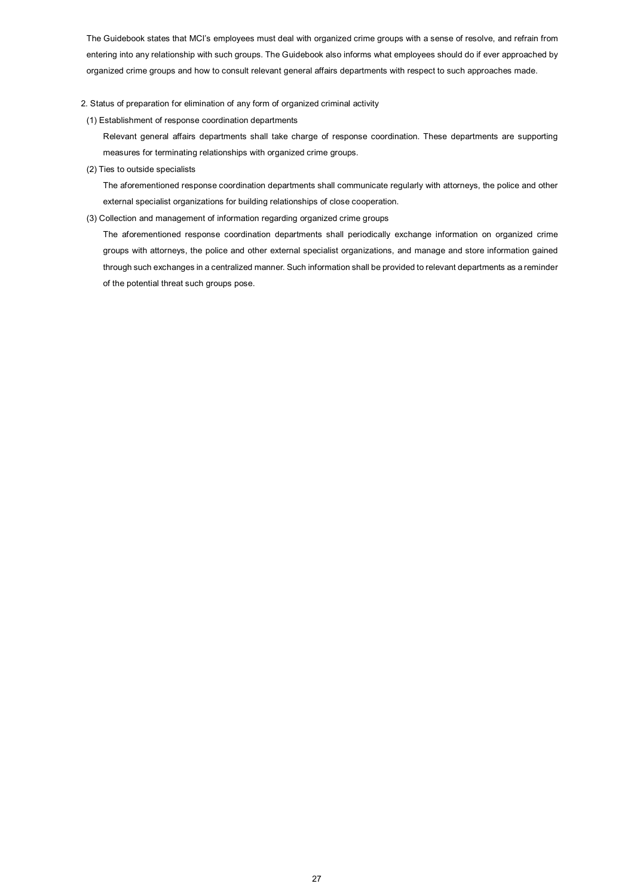The Guidebook states that MCI's employees must deal with organized crime groups with a sense of resolve, and refrain from entering into any relationship with such groups. The Guidebook also informs what employees should do if ever approached by organized crime groups and how to consult relevant general affairs departments with respect to such approaches made.

## 2. Status of preparation for elimination of any form of organized criminal activity

(1) Establishment of response coordination departments

 Relevant general affairs departments shall take charge of response coordination. These departments are supporting measures for terminating relationships with organized crime groups.

(2) Ties to outside specialists

 The aforementioned response coordination departments shall communicate regularly with attorneys, the police and other external specialist organizations for building relationships of close cooperation.

(3) Collection and management of information regarding organized crime groups

 The aforementioned response coordination departments shall periodically exchange information on organized crime groups with attorneys, the police and other external specialist organizations, and manage and store information gained through such exchanges in a centralized manner. Such information shall be provided to relevant departments as a reminder of the potential threat such groups pose.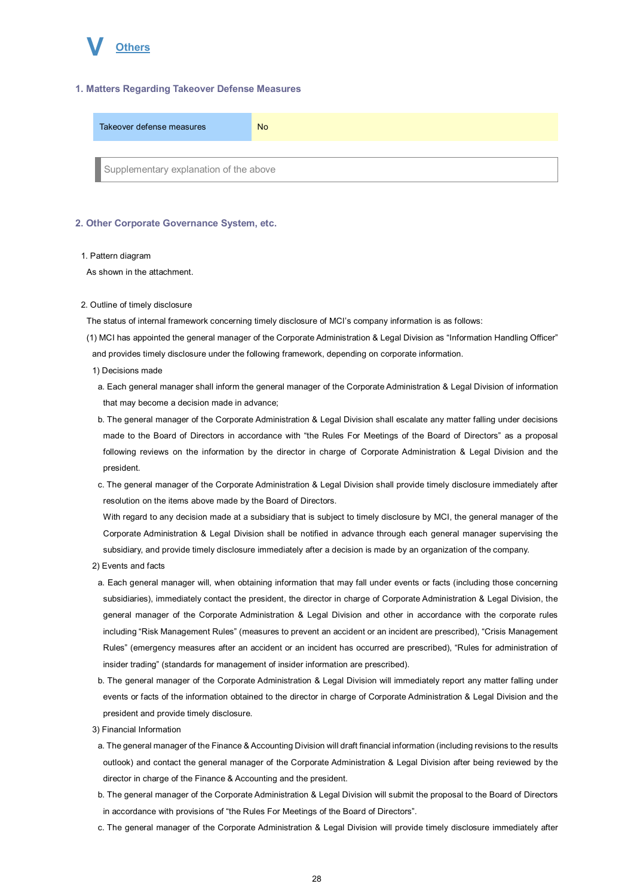

## **1. Matters Regarding Takeover Defense Measures**

| Takeover defense measures              | <b>No</b> |
|----------------------------------------|-----------|
|                                        |           |
| Supplementary explanation of the above |           |

#### **2. Other Corporate Governance System, etc.**

#### 1. Pattern diagram

As shown in the attachment.

2. Outline of timely disclosure

The status of internal framework concerning timely disclosure of MCI's company information is as follows:

- (1) MCI has appointed the general manager of the Corporate Administration & Legal Division as "Information Handling Officer" and provides timely disclosure under the following framework, depending on corporate information.
	- 1) Decisions made
	- a. Each general manager shall inform the general manager of the Corporate Administration & Legal Division of information that may become a decision made in advance;
	- b. The general manager of the Corporate Administration & Legal Division shall escalate any matter falling under decisions made to the Board of Directors in accordance with "the Rules For Meetings of the Board of Directors" as a proposal following reviews on the information by the director in charge of Corporate Administration & Legal Division and the president.
	- c. The general manager of the Corporate Administration & Legal Division shall provide timely disclosure immediately after resolution on the items above made by the Board of Directors.

With regard to any decision made at a subsidiary that is subject to timely disclosure by MCI, the general manager of the Corporate Administration & Legal Division shall be notified in advance through each general manager supervising the subsidiary, and provide timely disclosure immediately after a decision is made by an organization of the company.

- 2) Events and facts
- a. Each general manager will, when obtaining information that may fall under events or facts (including those concerning subsidiaries), immediately contact the president, the director in charge of Corporate Administration & Legal Division, the general manager of the Corporate Administration & Legal Division and other in accordance with the corporate rules including "Risk Management Rules" (measures to prevent an accident or an incident are prescribed), "Crisis Management Rules" (emergency measures after an accident or an incident has occurred are prescribed), "Rules for administration of insider trading" (standards for management of insider information are prescribed).
- b. The general manager of the Corporate Administration & Legal Division will immediately report any matter falling under events or facts of the information obtained to the director in charge of Corporate Administration & Legal Division and the president and provide timely disclosure.
- 3) Financial Information
- a. The general manager of the Finance & Accounting Division will draft financial information (including revisions to the results outlook) and contact the general manager of the Corporate Administration & Legal Division after being reviewed by the director in charge of the Finance & Accounting and the president.
- b. The general manager of the Corporate Administration & Legal Division will submit the proposal to the Board of Directors in accordance with provisions of "the Rules For Meetings of the Board of Directors".
- c. The general manager of the Corporate Administration & Legal Division will provide timely disclosure immediately after